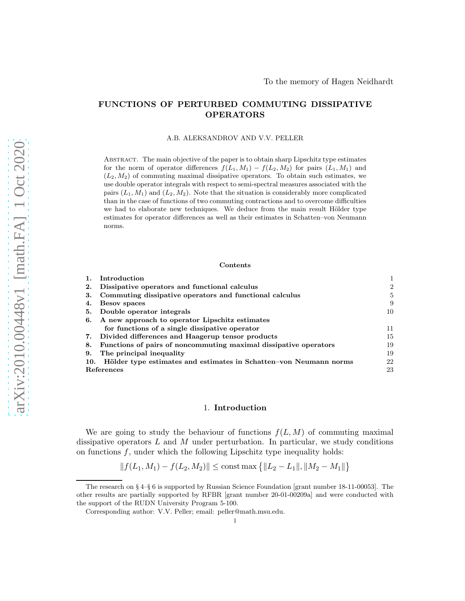# FUNCTIONS OF PERTURBED COMMUTING DISSIPATIVE OPERATORS

A.B. ALEKSANDROV AND V.V. PELLER

Abstract. The main objective of the paper is to obtain sharp Lipschitz type estimates for the norm of operator differences  $f(L_1, M_1) - f(L_2, M_2)$  for pairs  $(L_1, M_1)$  and  $(L_2, M_2)$  of commuting maximal dissipative operators. To obtain such estimates, we use double operator integrals with respect to semi-spectral measures associated with the pairs  $(L_1, M_1)$  and  $(L_2, M_2)$ . Note that the situation is considerably more complicated than in the case of functions of two commuting contractions and to overcome difficulties we had to elaborate new techniques. We deduce from the main result Hölder type estimates for operator differences as well as their estimates in Schatten–von Neumann norms.

### Contents

|            | Introduction                                                          |                |
|------------|-----------------------------------------------------------------------|----------------|
| 2.         | Dissipative operators and functional calculus                         | $\overline{2}$ |
| З.         | Commuting dissipative operators and functional calculus               | 5              |
| 4.         | Besov spaces                                                          | 9              |
| 5.         | Double operator integrals                                             | 10             |
| 6.         | A new approach to operator Lipschitz estimates                        |                |
|            | for functions of a single dissipative operator                        | 11             |
| 7.         | Divided differences and Haagerup tensor products                      | 15             |
| 8.         | Functions of pairs of noncommuting maximal dissipative operators      | 19             |
| 9.         | The principal inequality                                              | 19             |
|            | 10. Hölder type estimates and estimates in Schatten-von Neumann norms | 22             |
| References |                                                                       | 23             |

### 1. Introduction

We are going to study the behaviour of functions  $f(L, M)$  of commuting maximal dissipative operators  $L$  and  $M$  under perturbation. In particular, we study conditions on functions  $f$ , under which the following Lipschitz type inequality holds:

$$
|| f(L_1, M_1) - f(L_2, M_2)|| \le \text{const} \max \{ ||L_2 - L_1||, ||M_2 - M_1|| \}
$$

The research on  $\S 4$ – $\S 6$  is supported by Russian Science Foundation [grant number 18-11-00053]. The other results are partially supported by RFBR [grant number 20-01-00209a] and were conducted with the support of the RUDN University Program 5-100.

Corresponding author: V.V. Peller; email: peller@math.msu.edu.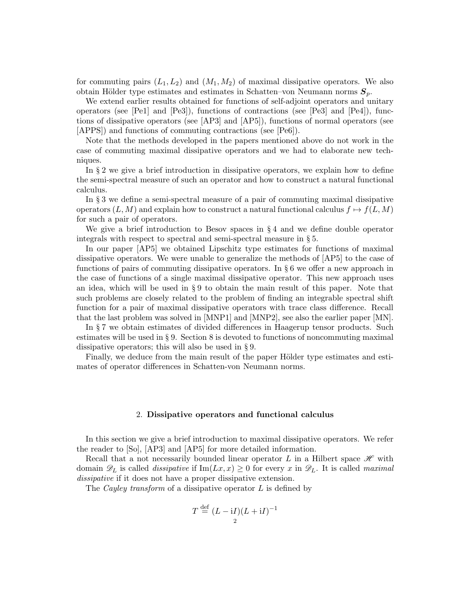for commuting pairs  $(L_1, L_2)$  and  $(M_1, M_2)$  of maximal dissipative operators. We also obtain Hölder type estimates and estimates in Schatten–von Neumann norms  $S_p$ .

We extend earlier results obtained for functions of self-adjoint operators and unitary operators (see [Pe1] and [Pe3]), functions of contractions (see [Pe3] and [Pe4]), functions of dissipative operators (see [AP3] and [AP5]), functions of normal operators (see [APPS]) and functions of commuting contractions (see [Pe6]).

Note that the methods developed in the papers mentioned above do not work in the case of commuting maximal dissipative operators and we had to elaborate new techniques.

In § 2 we give a brief introduction in dissipative operators, we explain how to define the semi-spectral measure of such an operator and how to construct a natural functional calculus.

In § 3 we define a semi-spectral measure of a pair of commuting maximal dissipative operators  $(L, M)$  and explain how to construct a natural functional calculus  $f \mapsto f(L, M)$ for such a pair of operators.

We give a brief introduction to Besov spaces in § 4 and we define double operator integrals with respect to spectral and semi-spectral measure in § 5.

In our paper [AP5] we obtained Lipschitz type estimates for functions of maximal dissipative operators. We were unable to generalize the methods of [AP5] to the case of functions of pairs of commuting dissipative operators. In § 6 we offer a new approach in the case of functions of a single maximal dissipative operator. This new approach uses an idea, which will be used in § 9 to obtain the main result of this paper. Note that such problems are closely related to the problem of finding an integrable spectral shift function for a pair of maximal dissipative operators with trace class difference. Recall that the last problem was solved in [MNP1] and [MNP2], see also the earlier paper [MN].

In § 7 we obtain estimates of divided differences in Haagerup tensor products. Such estimates will be used in § 9. Section  $\delta$  is devoted to functions of noncommuting maximal dissipative operators; this will also be used in § 9.

Finally, we deduce from the main result of the paper Hölder type estimates and estimates of operator differences in Schatten-von Neumann norms.

### 2. Dissipative operators and functional calculus

In this section we give a brief introduction to maximal dissipative operators. We refer the reader to [So], [AP3] and [AP5] for more detailed information.

Recall that a not necessarily bounded linear operator L in a Hilbert space  $\mathscr H$  with domain  $\mathscr{D}_L$  is called *dissipative* if  $\text{Im}(Lx, x) \geq 0$  for every x in  $\mathscr{D}_L$ . It is called *maximal dissipative* if it does not have a proper dissipative extension.

The *Cayley transform* of a dissipative operator L is defined by

$$
T \stackrel{\text{def}}{=} (L - \mathrm{i} I)(L + \mathrm{i} I)^{-1}
$$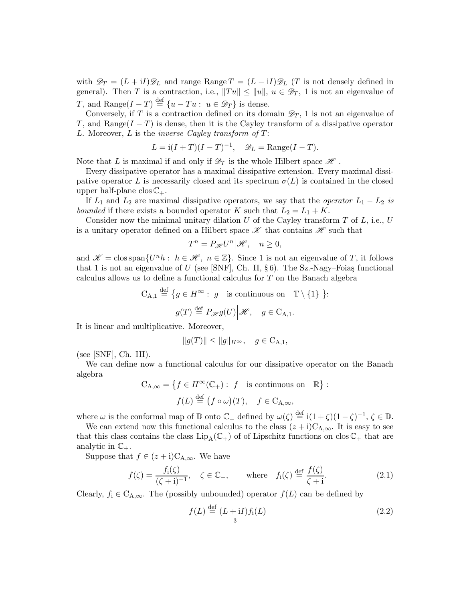with  $\mathscr{D}_T = (L + iI)\mathscr{D}_L$  and range Range  $T = (L - iI)\mathscr{D}_L$  (T is not densely defined in general). Then T is a contraction, i.e.,  $||Tu|| \le ||u||$ ,  $u \in \mathscr{D}_T$ , 1 is not an eigenvalue of T, and Range $(I - T) \stackrel{\text{def}}{=} \{u - Tu : u \in \mathscr{D}_T\}$  is dense.

Conversely, if T is a contraction defined on its domain  $\mathscr{D}_T$ , 1 is not an eigenvalue of T, and Range( $I - T$ ) is dense, then it is the Cayley transform of a dissipative operator L. Moreover, L is the *inverse Cayley transform of* T:

$$
L = \mathrm{i}(I+T)(I-T)^{-1}, \quad \mathscr{D}_L = \text{Range}(I-T).
$$

Note that L is maximal if and only if  $\mathscr{D}_T$  is the whole Hilbert space  $\mathscr{H}$ .

Every dissipative operator has a maximal dissipative extension. Every maximal dissipative operator L is necessarily closed and its spectrum  $\sigma(L)$  is contained in the closed upper half-plane clos  $\mathbb{C}_+$ .

If  $L_1$  and  $L_2$  are maximal dissipative operators, we say that the *operator*  $L_1 - L_2$  *is bounded* if there exists a bounded operator K such that  $L_2 = L_1 + K$ .

Consider now the minimal unitary dilation  $U$  of the Cayley transform  $T$  of  $L$ , i.e.,  $U$ is a unitary operator defined on a Hilbert space  $\mathscr K$  that contains  $\mathscr H$  such that

$$
T^n = P_{\mathscr{H}} U^n | \mathscr{H}, \quad n \ge 0,
$$

and  $\mathscr{K} = \text{clos span}\{U^n h : h \in \mathscr{H}, n \in \mathbb{Z}\}\.$  Since 1 is not an eigenvalue of T, it follows that 1 is not an eigenvalue of U (see [SNF], Ch. II,  $\S 6$ ). The Sz.-Nagy–Foias functional calculus allows us to define a functional calculus for T on the Banach algebra

$$
C_{A,1} \stackrel{\text{def}}{=} \{ g \in H^{\infty} : g \text{ is continuous on } \mathbb{T} \setminus \{1\} \}.
$$

$$
g(T) \stackrel{\text{def}}{=} P_{\mathscr{H}}g(U) \Big| \mathscr{H}, \quad g \in C_{A,1}.
$$

It is linear and multiplicative. Moreover,

$$
||g(T)|| \le ||g||_{H^{\infty}}, \quad g \in C_{A,1},
$$

(see [SNF], Ch. III).

We can define now a functional calculus for our dissipative operator on the Banach algebra

$$
C_{A,\infty} = \left\{ f \in H^{\infty}(\mathbb{C}_{+}) : f \text{ is continuous on } \mathbb{R} \right\} :
$$

$$
f(L) \stackrel{\text{def}}{=} (f \circ \omega)(T), \quad f \in C_{A,\infty},
$$

where  $\omega$  is the conformal map of  $\mathbb D$  onto  $\mathbb C_+$  defined by  $\omega(\zeta) \stackrel{\text{def}}{=} i(1+\zeta)(1-\zeta)^{-1}, \zeta \in \mathbb D$ .

We can extend now this functional calculus to the class  $(z + i)C_{A,\infty}$ . It is easy to see that this class contains the class  $\text{Lip}_{A}(\mathbb{C}_{+})$  of of Lipschitz functions on clos  $\mathbb{C}_{+}$  that are analytic in  $\mathbb{C}_+$ .

Suppose that  $f \in (z + i)C_{A,\infty}$ . We have

$$
f(\zeta) = \frac{f_i(\zeta)}{(\zeta + i)^{-1}}, \quad \zeta \in \mathbb{C}_+, \qquad \text{where} \quad f_i(\zeta) \stackrel{\text{def}}{=} \frac{f(\zeta)}{\zeta + i}.
$$
 (2.1)

Clearly,  $f_i \in C_{A,\infty}$ . The (possibly unbounded) operator  $f(L)$  can be defined by

$$
f(L) \stackrel{\text{def}}{=} (L + iI) f_i(L) \tag{2.2}
$$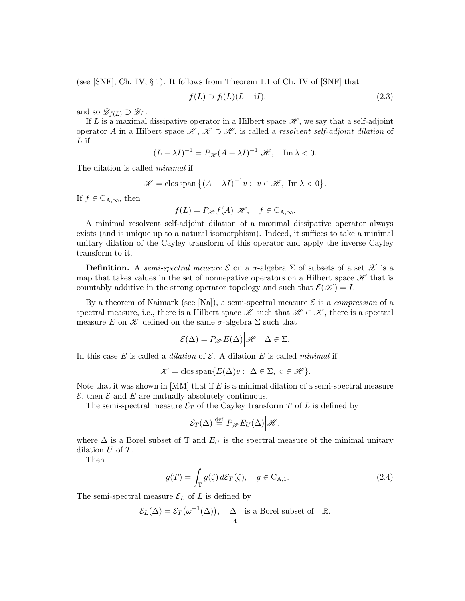(see  $\text{SNF}$ , Ch. IV, § 1). It follows from Theorem 1.1 of Ch. IV of  $\text{SNF}$  that

$$
f(L) \supset f_i(L)(L+iI), \tag{2.3}
$$

and so  $\mathscr{D}_{f(L)} \supset \mathscr{D}_L$ .

If L is a maximal dissipative operator in a Hilbert space  $\mathscr{H}$ , we say that a self-adjoint operator <sup>A</sup> in a Hilbert space <sup>K</sup> , <sup>K</sup> <sup>⊃</sup> <sup>H</sup> , is called a *resolvent self-adjoint dilation* of  $L$  if

$$
(L - \lambda I)^{-1} = P_{\mathscr{H}}(A - \lambda I)^{-1} \Big| \mathscr{H}, \quad \text{Im}\,\lambda < 0.
$$

The dilation is called *minimal* if

$$
\mathscr{K} = \text{clos span } \{ (A - \lambda I)^{-1} v : v \in \mathscr{H}, \text{ Im } \lambda < 0 \}.
$$

If  $f \in C_{A,\infty}$ , then

$$
f(L) = P_{\mathscr{H}}f(A)|\mathscr{H}, \quad f \in C_{A,\infty}.
$$

A minimal resolvent self-adjoint dilation of a maximal dissipative operator always exists (and is unique up to a natural isomorphism). Indeed, it suffices to take a minimal unitary dilation of the Cayley transform of this operator and apply the inverse Cayley transform to it.

**Definition.** A *semi-spectral measure*  $\mathcal E$  on a  $\sigma$ -algebra  $\Sigma$  of subsets of a set  $\mathcal X$  is a map that takes values in the set of nonnegative operators on a Hilbert space  $\mathscr H$  that is countably additive in the strong operator topology and such that  $\mathcal{E}(\mathscr{X}) = I$ .

By a theorem of Naimark (see  $[Na]$ ), a semi-spectral measure  $\mathcal E$  is a *compression* of a spectral measure, i.e., there is a Hilbert space  $\mathscr K$  such that  $\mathscr K \subset \mathscr K$ , there is a spectral measure E on  $\mathscr K$  defined on the same  $\sigma$ -algebra  $\Sigma$  such that

$$
\mathcal{E}(\Delta) = P_{\mathscr{H}} E(\Delta) \Big| \mathscr{H} \quad \Delta \in \Sigma.
$$

In this case  $E$  is called a *dilation* of  $\mathcal{E}$ . A dilation  $E$  is called *minimal* if

$$
\mathscr{K} = \text{clos span}\{E(\Delta)v : \ \Delta \in \Sigma, \ v \in \mathscr{H}\}.
$$

Note that it was shown in  $[MM]$  that if E is a minimal dilation of a semi-spectral measure  $\mathcal{E}$ , then  $\mathcal E$  and  $E$  are mutually absolutely continuous.

The semi-spectral measure  $\mathcal{E}_T$  of the Cayley transform T of L is defined by

$$
\mathcal{E}_T(\Delta) \stackrel{\text{def}}{=} P_{\mathscr{H}} E_U(\Delta) \Big| \mathscr{H},
$$

where  $\Delta$  is a Borel subset of T and  $E_U$  is the spectral measure of the minimal unitary dilation U of T.

Then

$$
g(T) = \int_{\mathbb{T}} g(\zeta) d\mathcal{E}_T(\zeta), \quad g \in \mathcal{C}_{\mathcal{A},1}.
$$
 (2.4)

The semi-spectral measure  $\mathcal{E}_L$  of L is defined by

$$
\mathcal{E}_L(\Delta) = \mathcal{E}_T(\omega^{-1}(\Delta)), \quad \Delta \text{ is a Borel subset of } \mathbb{R}.
$$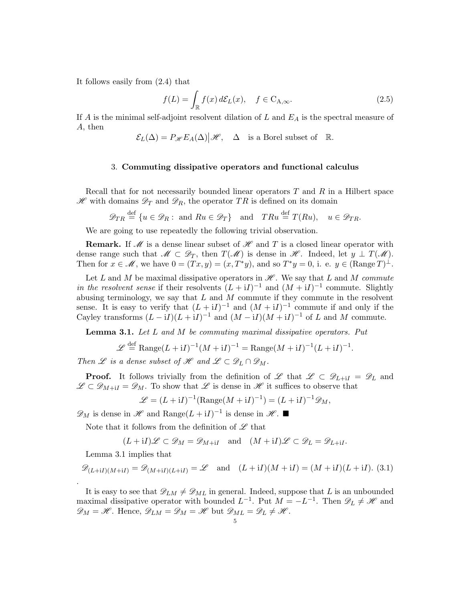It follows easily from (2.4) that

$$
f(L) = \int_{\mathbb{R}} f(x) d\mathcal{E}_L(x), \quad f \in C_{A,\infty}.
$$
 (2.5)

If A is the minimal self-adjoint resolvent dilation of L and  $E_A$  is the spectral measure of A, then

$$
\mathcal{E}_L(\Delta)=P_{\mathscr{H}}E_A(\Delta)\big|\mathscr{H},\quad \Delta\quad\text{is a Borel subset of}\quad\mathbb{R}.
$$

# 3. Commuting dissipative operators and functional calculus

Recall that for not necessarily bounded linear operators  $T$  and  $R$  in a Hilbert space  $\mathscr H$  with domains  $\mathscr D_T$  and  $\mathscr D_R$ , the operator TR is defined on its domain

$$
\mathscr{D}_{TR} \stackrel{\text{def}}{=} \{u \in \mathscr{D}_R : \text{ and } Ru \in \mathscr{D}_T\} \text{ and } TRu \stackrel{\text{def}}{=} T(Ru), \quad u \in \mathscr{D}_{TR}.
$$

We are going to use repeatedly the following trivial observation.

**Remark.** If  $\mathcal{M}$  is a dense linear subset of  $\mathcal{H}$  and T is a closed linear operator with dense range such that  $\mathscr{M} \subset \mathscr{D}_T$ , then  $T(\mathscr{M})$  is dense in  $\mathscr{H}$ . Indeed, let  $y \perp T(\mathscr{M})$ . Then for  $x \in \mathcal{M}$ , we have  $0 = (Tx, y) = (x, T^*y)$ , and so  $T^*y = 0$ , i. e.  $y \in (\text{Range } T)^{\perp}$ .

Let L and M be maximal dissipative operators in  $\mathscr H$ . We say that L and M *commute in the resolvent sense* if their resolvents  $(L + iI)^{-1}$  and  $(M + iI)^{-1}$  commute. Slightly abusing terminology, we say that  $L$  and  $M$  commute if they commute in the resolvent sense. It is easy to verify that  $(L + iI)^{-1}$  and  $(M + iI)^{-1}$  commute if and only if the Cayley transforms  $(L - iI)(L + iI)^{-1}$  and  $(M - iI)(M + iI)^{-1}$  of L and M commute.

Lemma 3.1. *Let* L *and* M *be commuting maximal dissipative operators. Put*

$$
\mathcal{L} \stackrel{\text{def}}{=} \text{Range}(L+{\rm i}I)^{-1}(M+{\rm i}I)^{-1} = \text{Range}(M+{\rm i}I)^{-1}(L+{\rm i}I)^{-1}.
$$

*Then*  $\mathscr L$  *is a dense subset of*  $\mathscr H$  *and*  $\mathscr L \subset \mathscr D_L \cap \mathscr D_M$ .

**Proof.** It follows trivially from the definition of L that  $\mathscr{L} \subset \mathscr{D}_{L+i} = \mathscr{D}_L$  and  $\mathscr{L} \subset \mathscr{D}_{M+1} = \mathscr{D}_M$ . To show that  $\mathscr{L}$  is dense in  $\mathscr{H}$  it suffices to observe that

$$
\mathcal{L} = (L + iI)^{-1}(\text{Range}(M + iI)^{-1}) = (L + iI)^{-1}\mathcal{D}_M,
$$

 $\mathscr{D}_M$  is dense in  $\mathscr{H}$  and Range $(L + iI)^{-1}$  is dense in  $\mathscr{H}$ . ■

Note that it follows from the definition of  $\mathscr L$  that

$$
(L+{\rm i} I){\mathscr L}\subset{\mathscr D}_M={\mathscr D}_{M+{\rm i} I}\quad\text{and}\quad (M+{\rm i} I){\mathscr L}\subset{\mathscr D}_L={\mathscr D}_{L+{\rm i} I}.
$$

Lemma 3.1 implies that

.

$$
\mathscr{D}_{(L+iI)(M+iI)} = \mathscr{D}_{(M+iI)(L+iI)} = \mathscr{L} \quad \text{and} \quad (L+iI)(M+iI) = (M+iI)(L+iI). \tag{3.1}
$$

It is easy to see that  $\mathscr{D}_{LM} \neq \mathscr{D}_{ML}$  in general. Indeed, suppose that L is an unbounded maximal dissipative operator with bounded  $L^{-1}$ . Put  $M = -L^{-1}$ . Then  $\mathscr{D}_L \neq \mathscr{H}$  and  $\mathscr{D}_M = \mathscr{H}.$  Hence,  $\mathscr{D}_{LM} = \mathscr{D}_M = \mathscr{H}$  but  $\mathscr{D}_{ML} = \mathscr{D}_L \neq \mathscr{H}.$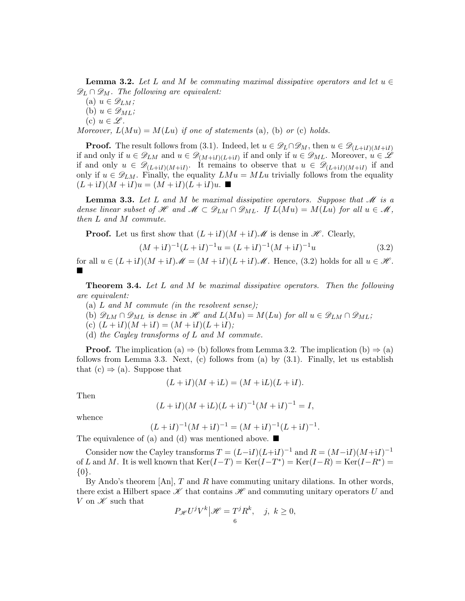**Lemma 3.2.** Let L and M be commuting maximal dissipative operators and let  $u \in$  $\mathscr{D}_L \cap \mathscr{D}_M$ . The following are equivalent:

(a)  $u \in \mathscr{D}_{LM}$ ; (b)  $u \in \mathscr{D}_{ML}$ ; (c)  $u \in \mathscr{L}$ . *Moreover,*  $L(Mu) = M(Lu)$  *if one of statements* (a), (b) *or* (c) *holds.* 

**Proof.** The result follows from (3.1). Indeed, let  $u \in \mathscr{D}_L \cap \mathscr{D}_M$ , then  $u \in \mathscr{D}_{(L+1)(M+1)}$ if and only if  $u \in \mathscr{D}_{LM}$  and  $u \in \mathscr{D}_{(M+iI)(L+iI)}$  if and only if  $u \in \mathscr{D}_{ML}$ . Moreover,  $u \in \mathscr{L}$ if and only  $u \in \mathscr{D}_{(L+1)(M+1)}$ . It remains to observe that  $u \in \mathscr{D}_{(L+1)(M+1)}$  if and only if  $u \in \mathscr{D}_{LM}$ . Finally, the equality  $LMu = MLu$  trivially follows from the equality  $(L + iI)(M + iI)u = (M + iI)(L + iI)u$ .

**Lemma 3.3.** Let L and M be maximal dissipative operators. Suppose that M is a *dense linear subset of* H and  $M \subset \mathscr{D}_{LM} \cap \mathscr{D}_{ML}$ . If  $L(Mu) = M(Lu)$  for all  $u \in \mathscr{M}$ , *then* L *and* M *commute.*

**Proof.** Let us first show that  $(L + iI)(M + iI)\mathcal{M}$  is dense in  $\mathcal{H}$ . Clearly,

$$
(M + iI)^{-1}(L + iI)^{-1}u = (L + iI)^{-1}(M + iI)^{-1}u
$$
\n(3.2)

for all  $u \in (L + iI)(M + iI)\mathscr{M} = (M + iI)(L + iI)\mathscr{M}$ . Hence, (3.2) holds for all  $u \in \mathscr{H}$ . ш

Theorem 3.4. *Let* L *and* M *be maximal dissipative operators. Then the following are equivalent:*

- (a) L *and* M *commute (in the resolvent sense);*
- (b)  $\mathscr{D}_{LM} \cap \mathscr{D}_{ML}$  *is dense in*  $\mathscr{H}$  *and*  $L(Mu) = M(Lu)$  *for all*  $u \in \mathscr{D}_{LM} \cap \mathscr{D}_{ML}$ *;*
- (c)  $(L + iI)(M + iI) = (M + iI)(L + iI);$
- (d) *the Cayley transforms of* L *and* M *commute.*

**Proof.** The implication (a)  $\Rightarrow$  (b) follows from Lemma 3.2. The implication (b)  $\Rightarrow$  (a) follows from Lemma 3.3. Next, (c) follows from (a) by (3.1). Finally, let us establish that  $(c) \Rightarrow (a)$ . Suppose that

$$
(L + iI)(M + iL) = (M + iL)(L + iI).
$$

Then

$$
(L + iI)(M + iL)(L + iI)^{-1}(M + iI)^{-1} = I,
$$

whence

$$
(L + iI)^{-1}(M + iI)^{-1} = (M + iI)^{-1}(L + iI)^{-1}.
$$

The equivalence of (a) and (d) was mentioned above.  $\blacksquare$ 

Consider now the Cayley transforms  $T = (L-iI)(L+iI)^{-1}$  and  $R = (M-iI)(M+iI)^{-1}$ of L and M. It is well known that  $\text{Ker}(I-T) = \text{Ker}(I-T^*) = \text{Ker}(I-R) = \text{Ker}(I-R^*) =$ {0}.

By Ando's theorem  $[An]$ , T and R have commuting unitary dilations. In other words, there exist a Hilbert space  $\mathscr K$  that contains  $\mathscr H$  and commuting unitary operators U and V on  $\mathcal X$  such that

$$
P_{\mathscr{H}}U^jV^k|\mathscr{H}=T^jR^k, \quad j, k \ge 0,
$$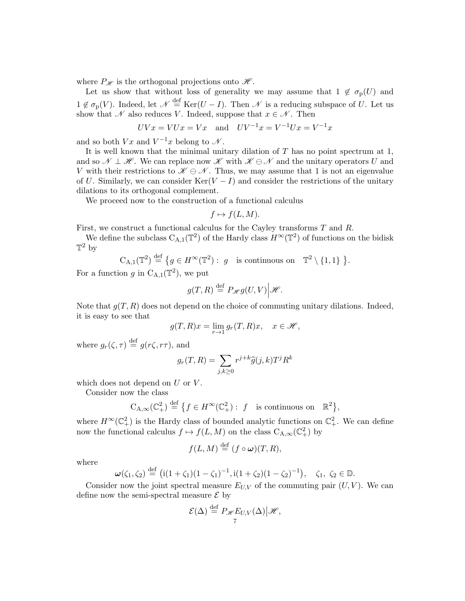where  $P_{\mathscr{H}}$  is the orthogonal projections onto  $\mathscr{H}$ .

Let us show that without loss of generality we may assume that  $1 \notin \sigma_{p}(U)$  and  $1 \notin \sigma_{\mathbf{p}}(V)$ . Indeed, let  $\mathcal{N} \stackrel{\text{def}}{=} \text{Ker}(U - I)$ . Then  $\mathcal{N}$  is a reducing subspace of U. Let us show that N also reduces V. Indeed, suppose that  $x \in \mathcal{N}$ . Then

$$
UVx = VUx = Vx
$$
 and  $UV^{-1}x = V^{-1}Ux = V^{-1}x$ 

and so both  $Vx$  and  $V^{-1}x$  belong to  $\mathscr N$ .

It is well known that the minimal unitary dilation of  $T$  has no point spectrum at 1, and so  $\mathcal{N} \perp \mathcal{H}$ . We can replace now  $\mathcal{K}$  with  $\mathcal{K} \ominus \mathcal{N}$  and the unitary operators U and V with their restrictions to  $\mathscr{K} \ominus \mathscr{N}$ . Thus, we may assume that 1 is not an eigenvalue of U. Similarly, we can consider Ker( $V - I$ ) and consider the restrictions of the unitary dilations to its orthogonal complement.

We proceed now to the construction of a functional calculus

$$
f \mapsto f(L, M).
$$

First, we construct a functional calculus for the Cayley transforms T and R.

We define the subclass  $C_{A,1}(\mathbb{T}^2)$  of the Hardy class  $H^{\infty}(\mathbb{T}^2)$  of functions on the bidisk  $\mathbb{T}^2$  by

$$
C_{A,1}(\mathbb{T}^2) \stackrel{\text{def}}{=} \{ g \in H^\infty(\mathbb{T}^2) : g \text{ is continuous on } \mathbb{T}^2 \setminus \{1,1\} \}.
$$

For a function g in  $C_{A,1}(\mathbb{T}^2)$ , we put

$$
g(T,R) \stackrel{\text{def}}{=} P_{\mathscr{H}}g(U,V) \Big| \mathscr{H}.
$$

Note that  $q(T, R)$  does not depend on the choice of commuting unitary dilations. Indeed, it is easy to see that

$$
g(T, R)x = \lim_{r \to 1} g_r(T, R)x, \quad x \in \mathcal{H},
$$

where  $g_r(\zeta,\tau) \stackrel{\text{def}}{=} g(r\zeta,r\tau)$ , and

$$
g_r(T,R) = \sum_{j,k \ge 0} r^{j+k} \widehat{g}(j,k) T^j R^k
$$

which does not depend on  $U$  or  $V$ .

Consider now the class

$$
C_{A,\infty}(\mathbb{C}^2_+) \stackrel{\text{def}}{=} \{ f \in H^{\infty}(\mathbb{C}^2_+) : f \text{ is continuous on } \mathbb{R}^2 \},
$$

where  $H^{\infty}(\mathbb{C}^2_+)$  is the Hardy class of bounded analytic functions on  $\mathbb{C}^2_+$ . We can define now the functional calculus  $f \mapsto f(L, M)$  on the class  $C_{A,\infty}(\mathbb{C}^2_+)$  by

$$
f(L,M) \stackrel{\text{def}}{=} (f \circ \omega)(T,R),
$$

where

$$
\boldsymbol{\omega}(\zeta_1, \zeta_2) \stackrel{\text{def}}{=} (i(1+\zeta_1)(1-\zeta_1)^{-1}, i(1+\zeta_2)(1-\zeta_2)^{-1}), \quad \zeta_1, \zeta_2 \in \mathbb{D}.
$$

Consider now the joint spectral measure  $E_{U,V}$  of the commuting pair  $(U, V)$ . We can define now the semi-spectral measure  $\mathcal E$  by

$$
\mathcal{E}(\Delta) \stackrel{\text{def}}{=} P_{\mathscr{H}} E_{U,V}(\Delta) | \mathscr{H},
$$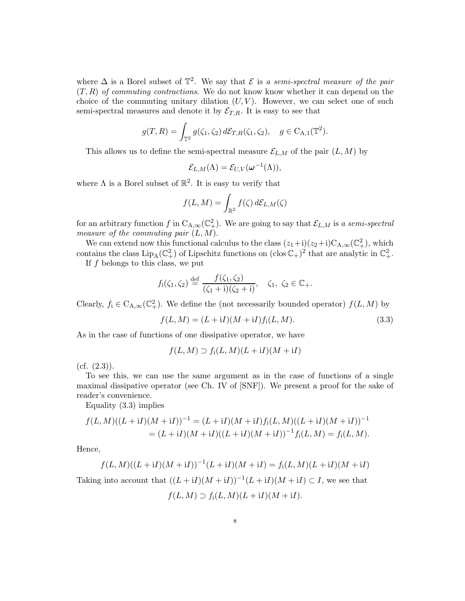where  $\Delta$  is a Borel subset of  $\mathbb{T}^2$ . We say that  $\mathcal E$  is *a semi-spectral measure of the pair* (T, R) *of commuting contractions*. We do not know know whether it can depend on the choice of the commuting unitary dilation  $(U, V)$ . However, we can select one of such semi-spectral measures and denote it by  $\mathcal{E}_{T,R}$ . It is easy to see that

$$
g(T, R) = \int_{\mathbb{T}^2} g(\zeta_1, \zeta_2) d\mathcal{E}_{T,R}(\zeta_1, \zeta_2), \quad g \in C_{A,1}(\mathbb{T}^2).
$$

This allows us to define the semi-spectral measure  $\mathcal{E}_{L,M}$  of the pair  $(L, M)$  by

$$
\mathcal{E}_{L,M}(\Lambda)=\mathcal{E}_{U,V}(\boldsymbol{\omega}^{-1}(\Lambda)),
$$

where  $\Lambda$  is a Borel subset of  $\mathbb{R}^2$ . It is easy to verify that

$$
f(L,M)=\int_{\mathbb{R}^2}f(\zeta)\,d\mathcal{E}_{L,M}(\zeta)
$$

for an arbitrary function f in  $C_{A,\infty}(\mathbb{C}^2_+)$ . We are going to say that  $\mathcal{E}_{L,M}$  is a semi-spectral *measure of the commuting pair* (L, M).

We can extend now this functional calculus to the class  $(z_1+i)(z_2+i)C_{A,\infty}(\mathbb{C}^2_+)$ , which contains the class  $\text{Lip}_A(\mathbb{C}^2_+)$  of Lipschitz functions on  $(\text{clos }\mathbb{C}_+)^2$  that are analytic in  $\mathbb{C}^2_+$ .

If  $f$  belongs to this class, we put

$$
f_1(\zeta_1, \zeta_2) \stackrel{\text{def}}{=} \frac{f(\zeta_1, \zeta_2)}{(\zeta_1 + i)(\zeta_2 + i)}, \quad \zeta_1, \ \zeta_2 \in \mathbb{C}_+.
$$

Clearly,  $f_i \in C_{A,\infty}(\mathbb{C}^2_+)$ . We define the (not necessarily bounded operator)  $f(L, M)$  by

$$
f(L, M) = (L + iI)(M + iI)fi(L, M).
$$
\n(3.3)

As in the case of functions of one dissipative operator, we have

$$
f(L,M) \supset f_i(L,M)(L+iI)(M+iI)
$$

 $(cf. (2.3)).$ 

To see this, we can use the same argument as in the case of functions of a single maximal dissipative operator (see Ch. IV of [SNF]). We present a proof for the sake of reader's convenience.

Equality (3.3) implies

$$
f(L,M)((L+{\rm i}I)(M+{\rm i}I))^{-1} = (L+{\rm i}I)(M+{\rm i}I)f_{\rm i}(L,M)((L+{\rm i}I)(M+{\rm i}I))^{-1}
$$
  
=  $(L+{\rm i}I)(M+{\rm i}I)((L+{\rm i}I)(M+{\rm i}I))^{-1}f_{\rm i}(L,M) = f_{\rm i}(L,M).$ 

Hence,

$$
f(L,M)((L+{\rm i} I)(M+{\rm i} I))^{-1}(L+{\rm i} I)(M+{\rm i} I)=f_{\rm i}(L,M)(L+{\rm i} I)(M+{\rm i} I)
$$

Taking into account that  $((L + iI)(M + iI))^{-1}(L + iI)(M + iI) \subset I$ , we see that

$$
f(L,M) \supset f_i(L,M)(L+iI)(M+iI).
$$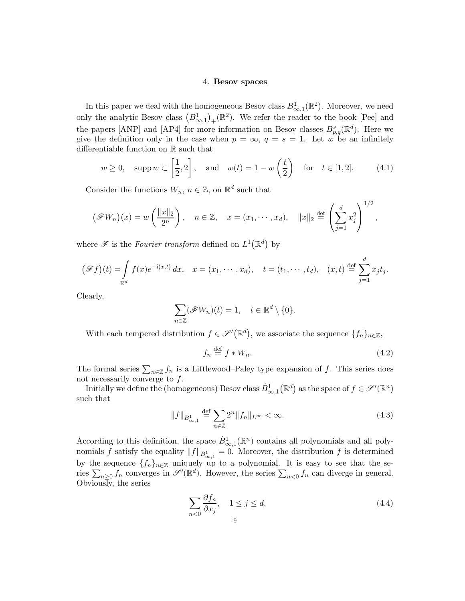### 4. Besov spaces

In this paper we deal with the homogeneous Besov class  $B^1_{\infty,1}(\mathbb{R}^2)$ . Moreover, we need only the analytic Besov class  $(B_{\infty,1}^1)_+({\mathbb{R}}^2)$ . We refer the reader to the book [Pee] and the papers [ANP] and [AP4] for more information on Besov classes  $B_{p,q}^s(\mathbb{R}^d)$ . Here we give the definition only in the case when  $p = \infty$ ,  $q = s = 1$ . Let w be an infinitely differentiable function on R such that

$$
w \ge 0
$$
,  $\text{supp } w \subset \left[\frac{1}{2}, 2\right]$ , and  $w(t) = 1 - w\left(\frac{t}{2}\right)$  for  $t \in [1, 2]$ . (4.1)

Consider the functions  $W_n$ ,  $n \in \mathbb{Z}$ , on  $\mathbb{R}^d$  such that

$$
(\mathscr{F}W_n)(x) = w\left(\frac{\|x\|_2}{2^n}\right), \quad n \in \mathbb{Z}, \quad x = (x_1, \dots, x_d), \quad \|x\|_2 \stackrel{\text{def}}{=} \left(\sum_{j=1}^d x_j^2\right)^{1/2},
$$

where  $\mathscr F$  is the *Fourier transform* defined on  $L^1(\mathbb{R}^d)$  by

$$
(\mathscr{F}f)(t) = \int_{\mathbb{R}^d} f(x) e^{-i(x,t)} dx, \quad x = (x_1, \dots, x_d), \quad t = (t_1, \dots, t_d), \quad (x, t) \stackrel{\text{def}}{=} \sum_{j=1}^d x_j t_j.
$$

Clearly,

$$
\sum_{n\in\mathbb{Z}}(\mathscr{F}W_n)(t)=1,\quad t\in\mathbb{R}^d\setminus\{0\}.
$$

With each tempered distribution  $f \in \mathscr{S}'(\mathbb{R}^d)$ , we associate the sequence  $\{f_n\}_{n \in \mathbb{Z}}$ ,

$$
f_n \stackrel{\text{def}}{=} f * W_n. \tag{4.2}
$$

The formal series  $\sum_{n\in\mathbb{Z}}f_n$  is a Littlewood–Paley type expansion of f. This series does not necessarily converge to  $f$ .

Initially we define the (homogeneous) Besov class  $\dot{B}^1_{\infty,1}(\mathbb{R}^d)$  as the space of  $f \in \mathscr{S}'(\mathbb{R}^n)$ such that

$$
||f||_{B^{1}_{\infty,1}} \stackrel{\text{def}}{=} \sum_{n \in \mathbb{Z}} 2^n ||f_n||_{L^{\infty}} < \infty.
$$
 (4.3)

According to this definition, the space  $\dot{B}^1_{\infty,1}(\mathbb{R}^n)$  contains all polynomials and all polynomials f satisfy the equality  $||f||_{B^1_{\infty,1}} = 0$ . Moreover, the distribution f is determined by the sequence  $\{f_n\}_{n\in\mathbb{Z}}$  uniquely up to a polynomial. It is easy to see that the series  $\sum_{n\geq 0} f_n$  converges in  $\mathscr{S}'(\mathbb{R}^d)$ . However, the series  $\sum_{n<0} f_n$  can diverge in general. Obviously, the series

$$
\sum_{n<0} \frac{\partial f_n}{\partial x_j}, \quad 1 \le j \le d,
$$
\n<sup>(4.4)</sup>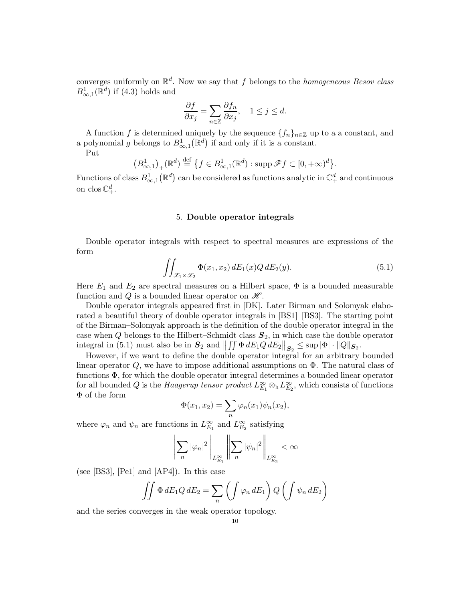converges uniformly on R d . Now we say that f belongs to the *homogeneous Besov class*  $B^1_{\infty,1}(\mathbb{R}^d)$  if (4.3) holds and

$$
\frac{\partial f}{\partial x_j} = \sum_{n \in \mathbb{Z}} \frac{\partial f_n}{\partial x_j}, \quad 1 \le j \le d.
$$

A function f is determined uniquely by the sequence  $\{f_n\}_{n\in\mathbb{Z}}$  up to a a constant, and a polynomial g belongs to  $B^1_{\infty,1}(\mathbb{R}^d)$  if and only if it is a constant.

Put

$$
(B_{\infty,1}^1)_+({\mathbb R}^d)\stackrel{\text{def}}{=} \{f\in B_{\infty,1}^1({\mathbb R}^d):\text{supp }\mathscr{F}f\subset [0,+\infty)^d\}.
$$

Functions of class  $B^1_{\infty,1}(\mathbb{R}^d)$  can be considered as functions analytic in  $\mathbb{C}^d_+$  and continuous on clos  $\mathbb{C}^d_+$ .

## 5. Double operator integrals

Double operator integrals with respect to spectral measures are expressions of the form

$$
\iint_{\mathcal{X}_1 \times \mathcal{X}_2} \Phi(x_1, x_2) dE_1(x) Q dE_2(y). \tag{5.1}
$$

Here  $E_1$  and  $E_2$  are spectral measures on a Hilbert space,  $\Phi$  is a bounded measurable function and Q is a bounded linear operator on  $\mathcal{H}$ .

Double operator integrals appeared first in [DK]. Later Birman and Solomyak elaborated a beautiful theory of double operator integrals in [BS1]–[BS3]. The starting point of the Birman–Solomyak approach is the definition of the double operator integral in the case when Q belongs to the Hilbert–Schmidt class  $S_2$ , in which case the double operator integral in (5.1) must also be in  $S_2$  and  $||\iint \Phi dE_1 Q dE_2||_{S_2} \le \sup |\Phi| \cdot ||Q||_{S_2}$ .

However, if we want to define the double operator integral for an arbitrary bounded linear operator Q, we have to impose additional assumptions on  $\Phi$ . The natural class of functions Φ, for which the double operator integral determines a bounded linear operator for all bounded Q is the *Haagerup tensor product*  $L_{E_1}^{\infty} \otimes_h L_{E_2}^{\infty}$ , which consists of functions Φ of the form

$$
\Phi(x_1,x_2)=\sum_n\varphi_n(x_1)\psi_n(x_2),
$$

where  $\varphi_n$  and  $\psi_n$  are functions in  $L^{\infty}_{E_1}$  and  $L^{\infty}_{E_2}$  satisfying

$$
\left\| \sum_{n} |\varphi_n|^2 \right\|_{L^{\infty}_{E_1}} \left\| \sum_{n} |\psi_n|^2 \right\|_{L^{\infty}_{E_2}} < \infty
$$

(see [BS3], [Pe1] and [AP4]). In this case

$$
\iint \Phi \, dE_1 Q \, dE_2 = \sum_n \left( \int \varphi_n \, dE_1 \right) Q \left( \int \psi_n \, dE_2 \right)
$$

and the series converges in the weak operator topology.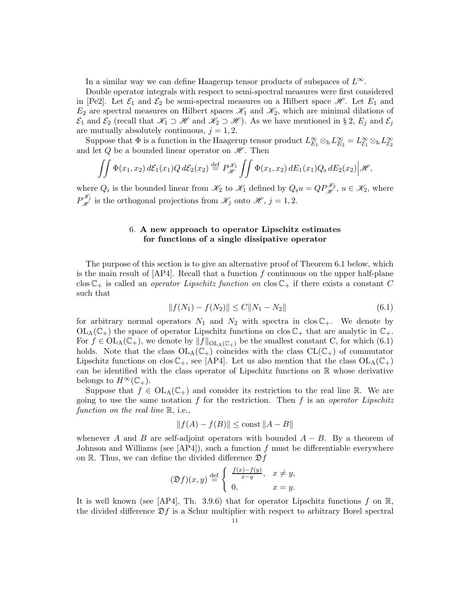In a similar way we can define Haagerup tensor products of subspaces of  $L^{\infty}$ .

Double operator integrals with respect to semi-spectral measures were first considered in [Pe2]. Let  $\mathcal{E}_1$  and  $\mathcal{E}_2$  be semi-spectral measures on a Hilbert space  $\mathcal{H}$ . Let  $E_1$  and  $E_2$  are spectral measures on Hilbert spaces  $\mathcal{K}_1$  and  $\mathcal{K}_2$ , which are minimal dilations of  $\mathcal{E}_1$  and  $\mathcal{E}_2$  (recall that  $\mathcal{K}_1 \supset \mathcal{H}$  and  $\mathcal{K}_2 \supset \mathcal{H}$ ). As we have mentioned in § 2,  $E_j$  and  $\mathcal{E}_j$ are mutually absolutely continuous,  $j = 1, 2$ .

Suppose that  $\Phi$  is a function in the Haagerup tensor product  $L_{E_1}^{\infty} \otimes_h L_{E_2}^{\infty} = L_{\mathcal{E}_1}^{\infty} \otimes_h L_{\mathcal{E}_2}^{\infty}$ and let Q be a bounded linear operator on  $\mathscr{H}$ . Then

$$
\iint \Phi(x_1,x_2) d\mathcal{E}_1(x_1) Q d\mathcal{E}_2(x_2) \stackrel{\text{def}}{=} P_{\mathscr{H}}^{\mathscr{K}_1} \iint \Phi(x_1,x_2) dE_1(x_1) Q_b dE_2(x_2) \big| \mathscr{H},
$$

where  $Q_{\flat}$  is the bounded linear from  $\mathscr{K}_2$  to  $\mathscr{K}_1$  defined by  $Q_{\flat}u = QP_{\mathscr{H}}^{\mathscr{K}_2}$ ,  $u \in \mathscr{K}_2$ , where  $P^{\mathcal{K}_j}_{\mathcal{H}}$  is the orthogonal projections from  $\mathcal{K}_j$  onto  $\mathcal{H}, j = 1, 2$ .

# 6. A new approach to operator Lipschitz estimates for functions of a single dissipative operator

The purpose of this section is to give an alternative proof of Theorem 6.1 below, which is the main result of  $[AP4]$ . Recall that a function f continuous on the upper half-plane clos  $\mathbb{C}_+$  is called an *operator Lipschitz function on* clos  $\mathbb{C}_+$  if there exists a constant C such that

$$
||f(N_1) - f(N_2)|| \le C||N_1 - N_2||\tag{6.1}
$$

for arbitrary normal operators  $N_1$  and  $N_2$  with spectra in clos  $\mathbb{C}_+$ . We denote by  $OL_A(\mathbb{C}_+)$  the space of operator Lipschitz functions on clos  $\mathbb{C}_+$  that are analytic in  $\mathbb{C}_+$ . For  $f \in OL_A(\mathbb{C}_+)$ , we denote by  $||f||_{OL_A(\mathbb{C}_+)}$  be the smallest constant C, for which (6.1) holds. Note that the class  $OL_A(\mathbb{C}_+)$  coincides with the class  $CL(\mathbb{C}_+)$  of commutator Lipschitz functions on clos  $\mathbb{C}_+$ , see [AP4]. Let us also mention that the class  $\mathrm{OL}_{A}(\mathbb{C}_+)$ can be identified with the class operator of Lipschitz functions on R whose derivative belongs to  $H^{\infty}(\mathbb{C}_{+}).$ 

Suppose that  $f \in OL_A(\mathbb{C}_+)$  and consider its restriction to the real line R. We are going to use the same notation f for the restriction. Then f is an *operator Lipschitz function on the real line*  $\mathbb{R}$ , *i.e.*,

$$
||f(A) - f(B)|| \le \text{const } ||A - B||
$$

whenever A and B are self-adjoint operators with bounded  $A - B$ . By a theorem of Johnson and Williams (see  $[AP4]$ ), such a function f must be differentiable everywhere on R. Thus, we can define the divided difference  $\mathfrak{D}f$ 

$$
(\mathfrak{D}f)(x,y) \stackrel{\text{def}}{=} \begin{cases} \frac{f(x)-f(y)}{x-y}, & x \neq y, \\ 0, & x = y. \end{cases}
$$

It is well known (see [AP4], Th. 3.9.6) that for operator Lipschitz functions f on  $\mathbb{R}$ , the divided difference  $\mathfrak{D}f$  is a Schur multiplier with respect to arbitrary Borel spectral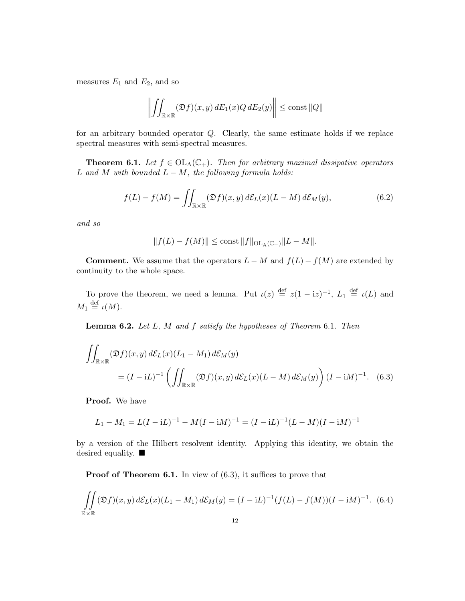measures  $E_1$  and  $E_2$ , and so

$$
\left\| \iint_{\mathbb{R} \times \mathbb{R}} (\mathfrak{D}f)(x, y) \, dE_1(x) Q \, dE_2(y) \right\| \le \text{const } ||Q||
$$

for an arbitrary bounded operator Q. Clearly, the same estimate holds if we replace spectral measures with semi-spectral measures.

**Theorem 6.1.** *Let*  $f \in OL<sub>A</sub>(\mathbb{C}_{+})$ *. Then for arbitrary maximal dissipative operators* L *and* M *with bounded* L − M*, the following formula holds:*

$$
f(L) - f(M) = \iint_{\mathbb{R} \times \mathbb{R}} (\mathfrak{D}f)(x, y) d\mathcal{E}_L(x) (L - M) d\mathcal{E}_M(y), \tag{6.2}
$$

*and so*

$$
||f(L) - f(M)|| \le \text{const} ||f||_{\text{OL}_A(\mathbb{C}_+)} ||L - M||.
$$

**Comment.** We assume that the operators  $L - M$  and  $f(L) - f(M)$  are extended by continuity to the whole space.

To prove the theorem, we need a lemma. Put  $\iota(z) \stackrel{\text{def}}{=} z(1 - iz)^{-1}$ ,  $L_1 \stackrel{\text{def}}{=} \iota(L)$  and  $M_1 \stackrel{\text{def}}{=} \iota(M).$ 

Lemma 6.2. *Let* L*,* M *and* f *satisfy the hypotheses of Theorem* 6.1*. Then*

$$
\iint_{\mathbb{R}\times\mathbb{R}} (\mathfrak{D}f)(x,y) d\mathcal{E}_L(x) (L_1 - M_1) d\mathcal{E}_M(y)
$$
  
=  $(I - iL)^{-1} \left( \iint_{\mathbb{R}\times\mathbb{R}} (\mathfrak{D}f)(x,y) d\mathcal{E}_L(x) (L - M) d\mathcal{E}_M(y) \right) (I - iM)^{-1}$ . (6.3)

Proof. We have

 $\overline{a}$ 

$$
L_1 - M_1 = L(I - iL)^{-1} - M(I - iM)^{-1} = (I - iL)^{-1}(L - M)(I - iM)^{-1}
$$

by a version of the Hilbert resolvent identity. Applying this identity, we obtain the desired equality.

**Proof of Theorem 6.1.** In view of  $(6.3)$ , it suffices to prove that

$$
\iint_{\mathbb{R}\times\mathbb{R}} (\mathfrak{D}f)(x,y) d\mathcal{E}_L(x) (L_1 - M_1) d\mathcal{E}_M(y) = (I - iL)^{-1} (f(L) - f(M))(I - iM)^{-1}.
$$
 (6.4)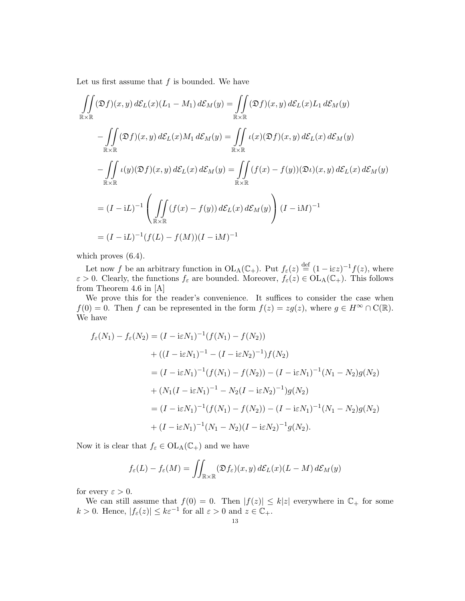Let us first assume that  $f$  is bounded. We have

$$
\iint_{\mathbb{R}\times\mathbb{R}} (\mathfrak{D}f)(x,y) d\mathcal{E}_L(x)(L_1 - M_1) d\mathcal{E}_M(y) = \iint_{\mathbb{R}\times\mathbb{R}} (\mathfrak{D}f)(x,y) d\mathcal{E}_L(x)L_1 d\mathcal{E}_M(y)
$$
\n
$$
-\iint_{\mathbb{R}\times\mathbb{R}} (\mathfrak{D}f)(x,y) d\mathcal{E}_L(x)M_1 d\mathcal{E}_M(y) = \iint_{\mathbb{R}\times\mathbb{R}} \iota(x)(\mathfrak{D}f)(x,y) d\mathcal{E}_L(x) d\mathcal{E}_M(y)
$$
\n
$$
-\iint_{\mathbb{R}\times\mathbb{R}} \iota(y)(\mathfrak{D}f)(x,y) d\mathcal{E}_L(x) d\mathcal{E}_M(y) = \iint_{\mathbb{R}\times\mathbb{R}} (f(x) - f(y))(\mathfrak{D}u)(x,y) d\mathcal{E}_L(x) d\mathcal{E}_M(y)
$$
\n
$$
= (I - iL)^{-1} \left( \iint_{\mathbb{R}\times\mathbb{R}} (f(x) - f(y)) d\mathcal{E}_L(x) d\mathcal{E}_M(y) \right) (I - iM)^{-1}
$$
\n
$$
= (I - iL)^{-1} (f(L) - f(M))(I - iM)^{-1}
$$

which proves  $(6.4)$ .

Let now f be an arbitrary function in  $\mathrm{OL}_{A}(\mathbb{C}_{+})$ . Put  $f_{\varepsilon}(z) \stackrel{\text{def}}{=} (1 - i \varepsilon z)^{-1} f(z)$ , where  $\varepsilon > 0$ . Clearly, the functions  $f_{\varepsilon}$  are bounded. Moreover,  $f_{\varepsilon}(z) \in \text{OL}_{A}(\mathbb{C}_{+})$ . This follows from Theorem 4.6 in [A]

We prove this for the reader's convenience. It suffices to consider the case when  $f(0) = 0$ . Then f can be represented in the form  $f(z) = zg(z)$ , where  $g \in H^{\infty} \cap C(\mathbb{R})$ . We have

$$
f_{\varepsilon}(N_1) - f_{\varepsilon}(N_2) = (I - i\varepsilon N_1)^{-1} (f(N_1) - f(N_2))
$$
  
+ 
$$
((I - i\varepsilon N_1)^{-1} - (I - i\varepsilon N_2)^{-1}) f(N_2)
$$
  
= 
$$
(I - i\varepsilon N_1)^{-1} (f(N_1) - f(N_2)) - (I - i\varepsilon N_1)^{-1} (N_1 - N_2) g(N_2)
$$
  
+ 
$$
(N_1(I - i\varepsilon N_1)^{-1} - N_2 (I - i\varepsilon N_2)^{-1}) g(N_2)
$$
  
= 
$$
(I - i\varepsilon N_1)^{-1} (f(N_1) - f(N_2)) - (I - i\varepsilon N_1)^{-1} (N_1 - N_2) g(N_2)
$$
  
+ 
$$
(I - i\varepsilon N_1)^{-1} (N_1 - N_2) (I - i\varepsilon N_2)^{-1} g(N_2).
$$

Now it is clear that  $f_{\varepsilon} \in \mathrm{OL}_{A}(\mathbb{C}_{+})$  and we have

$$
f_{\varepsilon}(L) - f_{\varepsilon}(M) = \iint_{\mathbb{R} \times \mathbb{R}} (\mathfrak{D} f_{\varepsilon})(x, y) d\mathcal{E}_L(x) (L - M) d\mathcal{E}_M(y)
$$

for every  $\varepsilon > 0$ .

We can still assume that  $f(0) = 0$ . Then  $|f(z)| \leq k|z|$  everywhere in  $\mathbb{C}_+$  for some  $k > 0$ . Hence,  $|f_{\varepsilon}(z)| \leq k \varepsilon^{-1}$  for all  $\varepsilon > 0$  and  $z \in \mathbb{C}_+$ .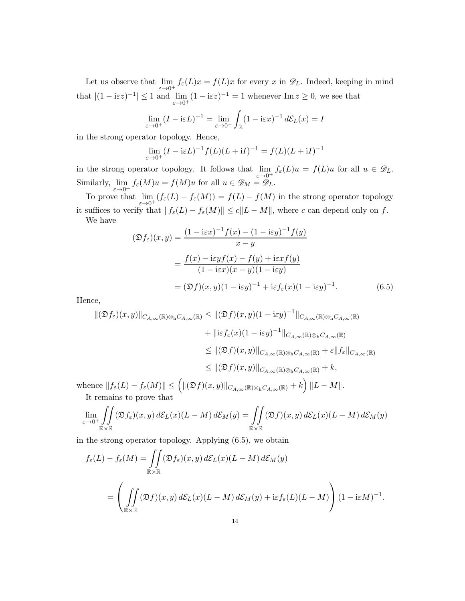Let us observe that  $\lim_{\varepsilon \to 0^+} f_{\varepsilon}(L)x = f(L)x$  for every x in  $\mathscr{D}_L$ . Indeed, keeping in mind that  $|(1 - i\varepsilon z)^{-1}| \leq 1$  and  $\lim_{\varepsilon \to 0^+} (1 - i\varepsilon z)^{-1} = 1$  whenever  $\text{Im } z \geq 0$ , we see that

$$
\lim_{\varepsilon \to 0^+} (I - i\varepsilon L)^{-1} = \lim_{\varepsilon \to 0^+} \int_{\mathbb{R}} (1 - i\varepsilon x)^{-1} d\mathcal{E}_L(x) = I
$$

in the strong operator topology. Hence,

$$
\lim_{\varepsilon \to 0^+} (I - i\varepsilon L)^{-1} f(L)(L + iI)^{-1} = f(L)(L + iI)^{-1}
$$

in the strong operator topology. It follows that  $\lim_{\varepsilon \to 0^+} f_{\varepsilon}(L)u = f(L)u$  for all  $u \in \mathscr{D}_L$ . Similarly,  $\lim_{\varepsilon \to 0^+} f_{\varepsilon}(M)u = f(M)u$  for all  $u \in \mathscr{D}_M = \mathscr{D}_L$ .

To prove that  $\lim_{\varepsilon \to 0^+} (f_{\varepsilon}(L) - f_{\varepsilon}(M)) = f(L) - f(M)$  in the strong operator topology it suffices to verify that  $||f_{\varepsilon}(L) - f_{\varepsilon}(M)|| \le c||L - M||$ , where c can depend only on f.

We have

$$
(\mathfrak{D}f_{\varepsilon})(x,y) = \frac{(1 - i\varepsilon x)^{-1} f(x) - (1 - i\varepsilon y)^{-1} f(y)}{x - y}
$$

$$
= \frac{f(x) - i\varepsilon y f(x) - f(y) + i\varepsilon x f(y)}{(1 - i\varepsilon x)(x - y)(1 - i\varepsilon y)}
$$

$$
= (\mathfrak{D}f)(x,y)(1 - i\varepsilon y)^{-1} + i\varepsilon f_{\varepsilon}(x)(1 - i\varepsilon y)^{-1}.
$$
(6.5)

Hence,

$$
\begin{split} \|\left(\mathfrak{D}f_{\varepsilon}\right)(x,y)\|_{C_{A,\infty}(\mathbb{R})\otimes_{\mathbf{h}}C_{A,\infty}(\mathbb{R})} &\leq \|\left(\mathfrak{D}f\right)(x,y)(1-\mathrm{i}\varepsilon y)^{-1}\|_{C_{A,\infty}(\mathbb{R})\otimes_{\mathbf{h}}C_{A,\infty}(\mathbb{R})} \\ &\quad + \|\mathrm{i}\varepsilon f_{\varepsilon}(x)(1-\mathrm{i}\varepsilon y)^{-1}\|_{C_{A,\infty}(\mathbb{R})\otimes_{\mathbf{h}}C_{A,\infty}(\mathbb{R})} \\ &\leq \|(\mathfrak{D}f)(x,y)\|_{C_{A,\infty}(\mathbb{R})\otimes_{\mathbf{h}}C_{A,\infty}(\mathbb{R})} + \varepsilon\|f_{\varepsilon}\|_{C_{A,\infty}(\mathbb{R})} \\ &\leq \|(\mathfrak{D}f)(x,y)\|_{C_{A,\infty}(\mathbb{R})\otimes_{\mathbf{h}}C_{A,\infty}(\mathbb{R})} + k, \\ \text{whence } \|f_{\varepsilon}(L) - f_{\varepsilon}(M)\| &\leq \left(\|(\mathfrak{D}f)(x,y)\|_{C_{A,\infty}(\mathbb{R})\otimes_{\mathbf{h}}C_{A,\infty}(\mathbb{R})} + k\right) \|L - M\|. \end{split}
$$

It remains to prove that

$$
\lim_{\varepsilon \to 0^+} \iint_{\mathbb{R} \times \mathbb{R}} (\mathfrak{D} f_{\varepsilon})(x, y) d\mathcal{E}_L(x) (L - M) d\mathcal{E}_M(y) = \iint_{\mathbb{R} \times \mathbb{R}} (\mathfrak{D} f)(x, y) d\mathcal{E}_L(x) (L - M) d\mathcal{E}_M(y)
$$

in the strong operator topology. Applying (6.5), we obtain

$$
f_{\varepsilon}(L) - f_{\varepsilon}(M) = \iint_{\mathbb{R} \times \mathbb{R}} (\mathfrak{D}f_{\varepsilon})(x, y) d\mathcal{E}_L(x) (L - M) d\mathcal{E}_M(y)
$$
  
= 
$$
\left( \iint_{\mathbb{R} \times \mathbb{R}} (\mathfrak{D}f)(x, y) d\mathcal{E}_L(x) (L - M) d\mathcal{E}_M(y) + i\varepsilon f_{\varepsilon}(L) (L - M) \right) (1 - i\varepsilon M)^{-1}.
$$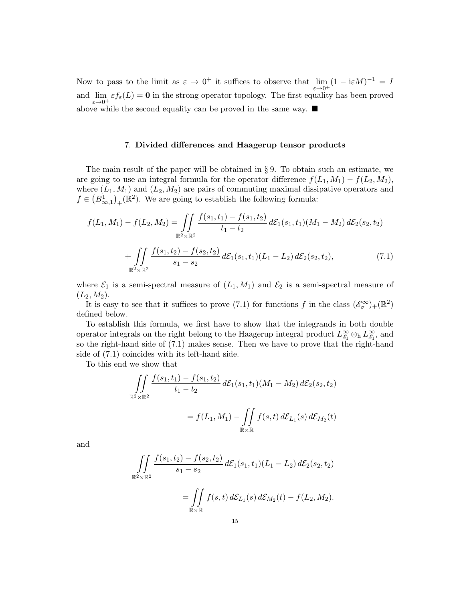Now to pass to the limit as  $\varepsilon \to 0^+$  it suffices to observe that  $\lim_{\varepsilon \to 0^+} (1 - i\varepsilon M)^{-1} = I$ and  $\lim_{\varepsilon \to 0^+} \varepsilon f_{\varepsilon}(L) = \mathbf{0}$  in the strong operator topology. The first equality has been proved above while the second equality can be proved in the same way.

## 7. Divided differences and Haagerup tensor products

The main result of the paper will be obtained in § 9. To obtain such an estimate, we are going to use an integral formula for the operator difference  $f(L_1, M_1) - f(L_2, M_2)$ , where  $(L_1, M_1)$  and  $(L_2, M_2)$  are pairs of commuting maximal dissipative operators and  $f \in (B_{\infty,1}^1)_+({\mathbb R}^2)$ . We are going to establish the following formula:

$$
f(L_1, M_1) - f(L_2, M_2) = \iint_{\mathbb{R}^2 \times \mathbb{R}^2} \frac{f(s_1, t_1) - f(s_1, t_2)}{t_1 - t_2} d\mathcal{E}_1(s_1, t_1) (M_1 - M_2) d\mathcal{E}_2(s_2, t_2)
$$

$$
+ \iint_{\mathbb{R}^2 \times \mathbb{R}^2} \frac{f(s_1, t_2) - f(s_2, t_2)}{s_1 - s_2} d\mathcal{E}_1(s_1, t_1) (L_1 - L_2) d\mathcal{E}_2(s_2, t_2), \tag{7.1}
$$

where  $\mathcal{E}_1$  is a semi-spectral measure of  $(L_1, M_1)$  and  $\mathcal{E}_2$  is a semi-spectral measure of  $(L_2, M_2).$ 

It is easy to see that it suffices to prove (7.1) for functions f in the class  $(\mathscr{E}_{\sigma}^{\infty})_{+}(\mathbb{R}^{2})$ defined below.

To establish this formula, we first have to show that the integrands in both double operator integrals on the right belong to the Haagerup integral product  $L_{\mathscr{E}_1}^{\infty} \otimes_h L_{\mathscr{E}_1}^{\infty}$ , and so the right-hand side of (7.1) makes sense. Then we have to prove that the right-hand side of (7.1) coincides with its left-hand side.

To this end we show that

$$
\iint_{\mathbb{R}^2 \times \mathbb{R}^2} \frac{f(s_1, t_1) - f(s_1, t_2)}{t_1 - t_2} d\mathcal{E}_1(s_1, t_1) (M_1 - M_2) d\mathcal{E}_2(s_2, t_2)
$$
  
=  $f(L_1, M_1) - \iint_{\mathbb{R} \times \mathbb{R}} f(s, t) d\mathcal{E}_{L_1}(s) d\mathcal{E}_{M_2}(t)$ 

and

$$
\iint_{\mathbb{R}^2 \times \mathbb{R}^2} \frac{f(s_1, t_2) - f(s_2, t_2)}{s_1 - s_2} d\mathcal{E}_1(s_1, t_1) (L_1 - L_2) d\mathcal{E}_2(s_2, t_2)
$$
  
= 
$$
\iint_{\mathbb{R} \times \mathbb{R}} f(s, t) d\mathcal{E}_{L_1}(s) d\mathcal{E}_{M_2}(t) - f(L_2, M_2).
$$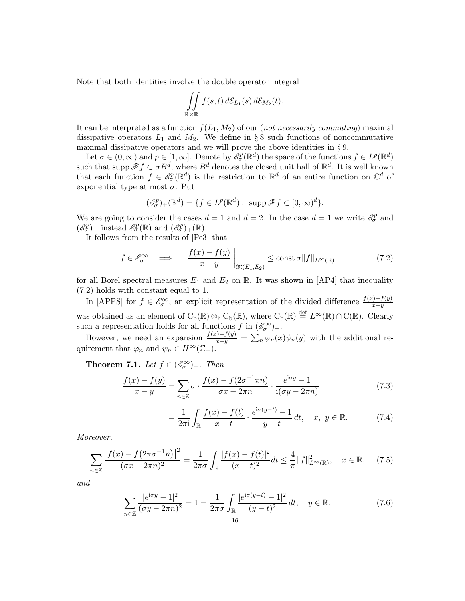Note that both identities involve the double operator integral

$$
\iint\limits_{{\Bbb R}\times{\Bbb R}}f(s,t)\,d\mathcal{E}_{L_1}(s)\,d\mathcal{E}_{M_2}(t).
$$

It can be interpreted as a function  $f(L_1, M_2)$  of our (*not necessarily commuting*) maximal dissipative operators  $L_1$  and  $M_2$ . We define in § 8 such functions of noncommutative maximal dissipative operators and we will prove the above identities in § 9.

Let  $\sigma \in (0,\infty)$  and  $p \in [1,\infty]$ . Denote by  $\mathscr{E}_{\sigma}^p(\mathbb{R}^d)$  the space of the functions  $f \in L^p(\mathbb{R}^d)$ such that supp  $\mathscr{F}f \subset \sigma B^d$ , where  $B^d$  denotes the closed unit ball of  $\mathbb{R}^d$ . It is well known that each function  $f \in \mathscr{E}_{\sigma}^p(\mathbb{R}^d)$  is the restriction to  $\mathbb{R}^d$  of an entire function on  $\mathbb{C}^d$  of exponential type at most  $\sigma$ . Put

$$
(\mathscr{E}_{\sigma}^{p})_{+}(\mathbb{R}^{d}) = \{ f \in L^{p}(\mathbb{R}^{d}) : \operatorname{supp} \mathscr{F} f \subset [0,\infty)^{d} \}.
$$

We are going to consider the cases  $d = 1$  and  $d = 2$ . In the case  $d = 1$  we write  $\mathscr{E}_{\sigma}^{p}$  and  $(\mathscr{E}_{\sigma}^p)_+$  instead  $\mathscr{E}_{\sigma}^p(\mathbb{R})$  and  $(\mathscr{E}_{\sigma}^p)_+(\mathbb{R})$ .

It follows from the results of [Pe3] that

$$
f \in \mathscr{E}_{\sigma}^{\infty} \quad \Longrightarrow \quad \left\| \frac{f(x) - f(y)}{x - y} \right\|_{\mathfrak{M}(E_1, E_2)} \le \text{const } \sigma \| f \|_{L^{\infty}(\mathbb{R})} \tag{7.2}
$$

for all Borel spectral measures  $E_1$  and  $E_2$  on R. It was shown in [AP4] that inequality (7.2) holds with constant equal to 1.

In [APPS] for  $f \in \mathscr{E}_{\sigma}^{\infty}$ , an explicit representation of the divided difference  $\frac{f(x)-f(y)}{x-y}$ was obtained as an element of  $C_b(\mathbb{R}) \otimes_h C_b(\mathbb{R})$ , where  $C_b(\mathbb{R}) \stackrel{\text{def}}{=} L^{\infty}(\mathbb{R}) \cap C(\mathbb{R})$ . Clearly such a representation holds for all functions  $f$  in  $(\mathscr{E}_{\sigma}^{\infty})_{+}$ .

However, we need an expansion  $\frac{f(x)-f(y)}{x-y} = \sum_n \varphi_n(x)\psi_n(y)$  with the additional requirement that  $\varphi_n$  and  $\psi_n \in H^\infty(\mathbb{C}_+).$ 

**Theorem 7.1.** *Let*  $f \in (\mathscr{E}_{\sigma}^{\infty})_{+}$ *. Then* 

$$
\frac{f(x) - f(y)}{x - y} = \sum_{n \in \mathbb{Z}} \sigma \cdot \frac{f(x) - f(2\sigma^{-1}\pi n)}{\sigma x - 2\pi n} \cdot \frac{e^{i\sigma y} - 1}{i(\sigma y - 2\pi n)}
$$
(7.3)

$$
= \frac{1}{2\pi i} \int_{\mathbb{R}} \frac{f(x) - f(t)}{x - t} \cdot \frac{e^{i\sigma(y - t)} - 1}{y - t} dt, \quad x, y \in \mathbb{R}.
$$
 (7.4)

*Moreover,*

$$
\sum_{n\in\mathbb{Z}}\frac{|f(x)-f(2\pi\sigma^{-1}n)|^2}{(\sigma x-2\pi n)^2}=\frac{1}{2\pi\sigma}\int_{\mathbb{R}}\frac{|f(x)-f(t)|^2}{(x-t)^2}dt\leq \frac{4}{\pi}\|f\|_{L^{\infty}(\mathbb{R})}^2, \quad x\in\mathbb{R},\tag{7.5}
$$

*and*

$$
\sum_{n\in\mathbb{Z}}\frac{|e^{i\sigma y}-1|^2}{(\sigma y-2\pi n)^2}=1=\frac{1}{2\pi\sigma}\int_{\mathbb{R}}\frac{|e^{i\sigma(y-t)}-1|^2}{(y-t)^2}dt,\quad y\in\mathbb{R}.\tag{7.6}
$$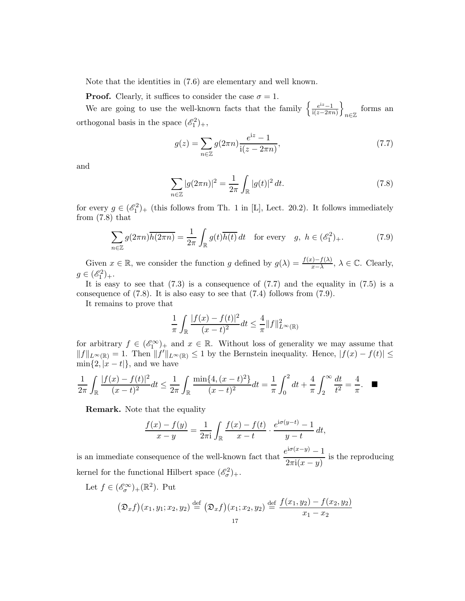Note that the identities in (7.6) are elementary and well known.

**Proof.** Clearly, it suffices to consider the case  $\sigma = 1$ .

We are going to use the well-known facts that the family  $\left\{\frac{e^{iz}-1}{i(z-2\pi i)}\right\}$  $i(z-2\pi n)$  $\mathcal{L}$ forms an  $n \in \mathbb{Z}$ orthogonal basis in the space  $(\mathscr{E}_1^2)_+,$ 

$$
g(z) = \sum_{n \in \mathbb{Z}} g(2\pi n) \frac{e^{iz} - 1}{i(z - 2\pi n)},
$$
\n(7.7)

and

$$
\sum_{n \in \mathbb{Z}} |g(2\pi n)|^2 = \frac{1}{2\pi} \int_{\mathbb{R}} |g(t)|^2 dt.
$$
 (7.8)

for every  $g \in (\mathscr{E}_1^2)_+$  (this follows from Th. 1 in [L], Lect. 20.2). It follows immediately from (7.8) that

$$
\sum_{n\in\mathbb{Z}} g(2\pi n) \overline{h(2\pi n)} = \frac{1}{2\pi} \int_{\mathbb{R}} g(t) \overline{h(t)} dt \quad \text{for every} \quad g, \ h \in (\mathscr{E}_1^2)_+.
$$
 (7.9)

Given  $x \in \mathbb{R}$ , we consider the function g defined by  $g(\lambda) = \frac{f(x) - f(\lambda)}{x - \lambda}$ ,  $\lambda \in \mathbb{C}$ . Clearly,  $g \in (\mathscr{E}_1^2)_+.$ 

It is easy to see that  $(7.3)$  is a consequence of  $(7.7)$  and the equality in  $(7.5)$  is a consequence of  $(7.8)$ . It is also easy to see that  $(7.4)$  follows from  $(7.9)$ .

It remains to prove that

$$
\frac{1}{\pi} \int_{\mathbb{R}} \frac{|f(x) - f(t)|^2}{(x - t)^2} dt \le \frac{4}{\pi} ||f||_{L^{\infty}(\mathbb{R})}^2
$$

for arbitrary  $f \in (\mathscr{E}_1^{\infty})_+$  and  $x \in \mathbb{R}$ . Without loss of generality we may assume that  $||f||_{L^{\infty}(\mathbb{R})} = 1$ . Then  $||f'||_{L^{\infty}(\mathbb{R})} \leq 1$  by the Bernstein inequality. Hence,  $|f(x) - f(t)| \leq$  $\min\{2, |x-t|\}$ , and we have

$$
\frac{1}{2\pi} \int_{\mathbb{R}} \frac{|f(x) - f(t)|^2}{(x - t)^2} dt \le \frac{1}{2\pi} \int_{\mathbb{R}} \frac{\min\{4, (x - t)^2\}}{(x - t)^2} dt = \frac{1}{\pi} \int_0^2 dt + \frac{4}{\pi} \int_2^\infty \frac{dt}{t^2} = \frac{4}{\pi}. \quad \blacksquare
$$

Remark. Note that the equality

$$
\frac{f(x) - f(y)}{x - y} = \frac{1}{2\pi i} \int_{\mathbb{R}} \frac{f(x) - f(t)}{x - t} \cdot \frac{e^{i\sigma(y - t)} - 1}{y - t} dt,
$$

is an immediate consequence of the well-known fact that  $\frac{e^{i\sigma(x-y)}-1}{e^{i\sigma(x-y)}}$  $\frac{1}{2\pi i(x-y)}$  is the reproducing kernel for the functional Hilbert space  $(\mathscr{E}_{\sigma}^2)_{+}$ .

Let  $f \in (\mathscr{E}_{\sigma}^{\infty})_{+}(\mathbb{R}^{2})$ . Put

$$
(\mathfrak{D}_x f)(x_1, y_1; x_2, y_2) \stackrel{\text{def}}{=} (\mathfrak{D}_x f)(x_1; x_2, y_2) \stackrel{\text{def}}{=} \frac{f(x_1, y_2) - f(x_2, y_2)}{x_1 - x_2}
$$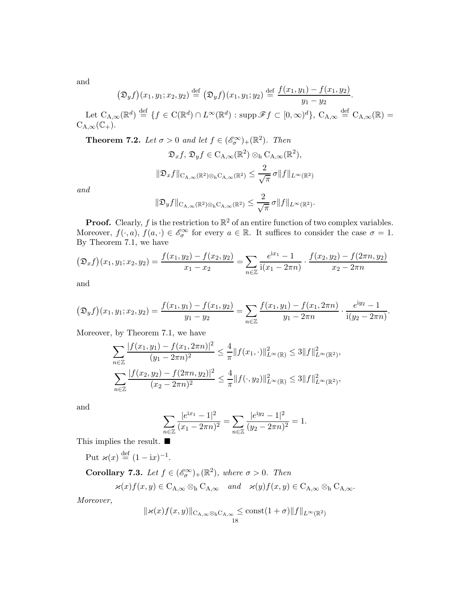and

$$
(\mathfrak{D}_y f)(x_1, y_1; x_2, y_2) \stackrel{\text{def}}{=} (\mathfrak{D}_y f)(x_1, y_1; y_2) \stackrel{\text{def}}{=} \frac{f(x_1, y_1) - f(x_1, y_2)}{y_1 - y_2}.
$$

Let  $C_{A,\infty}(\mathbb{R}^d) \stackrel{\text{def}}{=} \{f \in C(\mathbb{R}^d) \cap L^{\infty}(\mathbb{R}^d) : \text{supp }\mathscr{F}f \subset [0,\infty)^d\}, C_{A,\infty} \stackrel{\text{def}}{=} C_{A,\infty}(\mathbb{R}) =$  $C_{A,\infty}(\mathbb{C}_+).$ 

**Theorem 7.2.** *Let*  $\sigma > 0$  *and let*  $f \in (\mathscr{E}_{\sigma}^{\infty})_{+}(\mathbb{R}^{2})$ *. Then* 

$$
\mathfrak{D}_x f, \mathfrak{D}_y f \in C_{A,\infty}(\mathbb{R}^2) \otimes_{h} C_{A,\infty}(\mathbb{R}^2),
$$
  

$$
\|\mathfrak{D}_x f\|_{C_{A,\infty}(\mathbb{R}^2) \otimes_{h} C_{A,\infty}(\mathbb{R}^2)} \leq \frac{2}{\sqrt{\pi}} \sigma \|f\|_{L^{\infty}(\mathbb{R}^2)}
$$

*and*

$$
\|\mathfrak{D}_y f\|_{\mathrm{C}_{\mathrm{A},\infty}(\mathbb{R}^2)\otimes_{\mathrm{h}}\mathrm{C}_{\mathrm{A},\infty}(\mathbb{R}^2)} \leq \frac{2}{\sqrt{\pi}}\,\sigma \|f\|_{L^\infty(\mathbb{R}^2)}.
$$

**Proof.** Clearly, f is the restriction to  $\mathbb{R}^2$  of an entire function of two complex variables. Moreover,  $f(\cdot, a)$ ,  $f(a, \cdot) \in \mathscr{E}_{\sigma}^{\infty}$  for every  $a \in \mathbb{R}$ . It suffices to consider the case  $\sigma = 1$ . By Theorem 7.1, we have

$$
(\mathfrak{D}_x f)(x_1, y_1; x_2, y_2) = \frac{f(x_1, y_2) - f(x_2, y_2)}{x_1 - x_2} = \sum_{n \in \mathbb{Z}} \frac{e^{ix_1} - 1}{i(x_1 - 2\pi n)} \cdot \frac{f(x_2, y_2) - f(2\pi n, y_2)}{x_2 - 2\pi n}
$$

and

$$
(\mathfrak{D}_y f)(x_1, y_1; x_2, y_2) = \frac{f(x_1, y_1) - f(x_1, y_2)}{y_1 - y_2} = \sum_{n \in \mathbb{Z}} \frac{f(x_1, y_1) - f(x_1, 2\pi n)}{y_1 - 2\pi n} \cdot \frac{e^{iy_2} - 1}{i(y_2 - 2\pi n)}.
$$

Moreover, by Theorem 7.1, we have

$$
\sum_{n\in\mathbb{Z}}\frac{|f(x_1,y_1)-f(x_1,2\pi n)|^2}{(y_1-2\pi n)^2}\leq \frac{4}{\pi}\|f(x_1,\cdot)\|_{L^{\infty}(\mathbb{R})}^2\leq 3\|f\|_{L^{\infty}(\mathbb{R}^2)}^2,
$$
  

$$
\sum_{n\in\mathbb{Z}}\frac{|f(x_2,y_2)-f(2\pi n,y_2)|^2}{(x_2-2\pi n)^2}\leq \frac{4}{\pi}\|f(\cdot,y_2)\|_{L^{\infty}(\mathbb{R})}^2\leq 3\|f\|_{L^{\infty}(\mathbb{R}^2)}^2,
$$

and

$$
\sum_{n\in\mathbb{Z}}\frac{|e^{\mathrm{i}x_1}-1|^2}{(x_1-2\pi n)^2}=\sum_{n\in\mathbb{Z}}\frac{|e^{\mathrm{i}y_2}-1|^2}{(y_2-2\pi n)^2}=1.
$$

This implies the result.  $\blacksquare$ 

Put  $\varkappa(x) \stackrel{\text{def}}{=} (1 - \mathrm{i} x)^{-1}$ .

**Corollary 7.3.** *Let*  $f \in (\mathscr{E}_{\sigma}^{\infty})_{+}(\mathbb{R}^{2})$ *, where*  $\sigma > 0$ *. Then* 

 $\varkappa(x) f(x, y) \in C_{A, \infty} \otimes_h C_{A, \infty} \quad and \quad \varkappa(y) f(x, y) \in C_{A, \infty} \otimes_h C_{A, \infty}.$ 

*Moreover,*

$$
\|\varkappa(x)f(x,y)\|_{\mathcal{C}_{\mathcal{A},\infty}\otimes_{\mathcal{b}}\mathcal{C}_{\mathcal{A},\infty}} \leq \mathrm{const}(1+\sigma)\|f\|_{L^{\infty}(\mathbb{R}^2)}
$$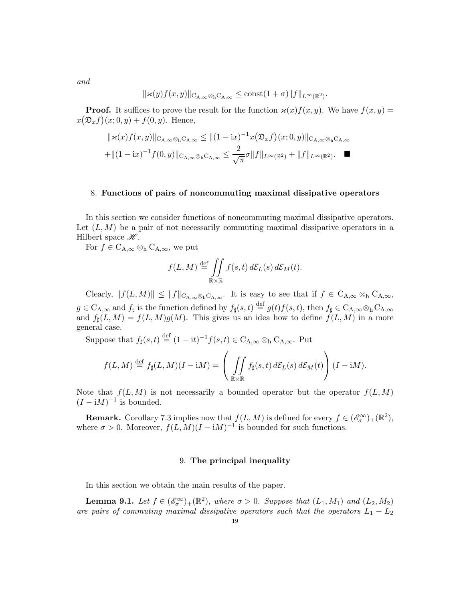$$
and
$$

$$
\|\varkappa(y)f(x,y)\|_{\mathcal{C}_{\mathcal{A},\infty}\otimes_{\mathcal{b}}\mathcal{C}_{\mathcal{A},\infty}}\leq \mathrm{const}(1+\sigma)\|f\|_{L^{\infty}(\mathbb{R}^2)}.
$$

**Proof.** It suffices to prove the result for the function  $\varkappa(x) f(x, y)$ . We have  $f(x, y) =$  $x(\mathfrak{D}_x f)(x; 0, y) + f(0, y)$ . Hence,

$$
\|\varkappa(x)f(x,y)\|_{\mathcal{C}_{A,\infty}\otimes_h\mathcal{C}_{A,\infty}} \leq \|(1-ix)^{-1}x(\mathfrak{D}_xf)(x;0,y)\|_{\mathcal{C}_{A,\infty}\otimes_h\mathcal{C}_{A,\infty}}
$$
  
+
$$
\|(1-ix)^{-1}f(0,y)\|_{\mathcal{C}_{A,\infty}\otimes_h\mathcal{C}_{A,\infty}} \leq \frac{2}{\sqrt{\pi}}\sigma\|f\|_{L^{\infty}(\mathbb{R}^2)} + \|f\|_{L^{\infty}(\mathbb{R}^2)}.
$$

### 8. Functions of pairs of noncommuting maximal dissipative operators

In this section we consider functions of noncommuting maximal dissipative operators. Let  $(L, M)$  be a pair of not necessarily commuting maximal dissipative operators in a Hilbert space  $\mathscr{H}$ .

For  $f \in C_{A,\infty} \otimes_h C_{A,\infty}$ , we put

$$
f(L,M) \stackrel{\text{def}}{=} \iint\limits_{\mathbb{R} \times \mathbb{R}} f(s,t) d\mathcal{E}_L(s) d\mathcal{E}_M(t).
$$

Clearly,  $||f(L, M)|| \leq ||f||_{C_{A,\infty} \otimes_h C_{A,\infty}}$ . It is easy to see that if  $f \in C_{A,\infty} \otimes_h C_{A,\infty}$ ,  $g \in C_{A,\infty}$  and  $f_{\sharp}$  is the function defined by  $f_{\sharp}(s,t) \stackrel{\text{def}}{=} g(t)f(s,t)$ , then  $f_{\sharp} \in C_{A,\infty} \otimes_{h} C_{A,\infty}$ and  $f_{\sharp}(L, M) = f(L, M)g(M)$ . This gives us an idea how to define  $f(L, M)$  in a more general case.

Suppose that  $f_{\sharp}(s,t) \stackrel{\text{def}}{=} (1 - \mathrm{i}t)^{-1} f(s,t) \in C_{A,\infty} \otimes_h C_{A,\infty}$ . Put

$$
f(L,M) \stackrel{\text{def}}{=} f_{\sharp}(L,M)(I - iM) = \left( \iint_{\mathbb{R} \times \mathbb{R}} f_{\sharp}(s,t) d\mathcal{E}_{L}(s) d\mathcal{E}_{M}(t) \right) (I - iM).
$$

Note that  $f(L, M)$  is not necessarily a bounded operator but the operator  $f(L, M)$  $(I - iM)^{-1}$  is bounded.

**Remark.** Corollary 7.3 implies now that  $f(L, M)$  is defined for every  $f \in (\mathscr{E}_{\sigma}^{\infty})_+(\mathbb{R}^2)$ , where  $\sigma > 0$ . Moreover,  $f(L, M)(I - iM)^{-1}$  is bounded for such functions.

### 9. The principal inequality

In this section we obtain the main results of the paper.

**Lemma 9.1.** Let  $f \in (\mathcal{E}_{\sigma}^{\infty})_{+}(\mathbb{R}^{2})$ , where  $\sigma > 0$ . Suppose that  $(L_{1}, M_{1})$  and  $(L_{2}, M_{2})$ *are pairs of commuting maximal dissipative operators such that the operators*  $L_1 - L_2$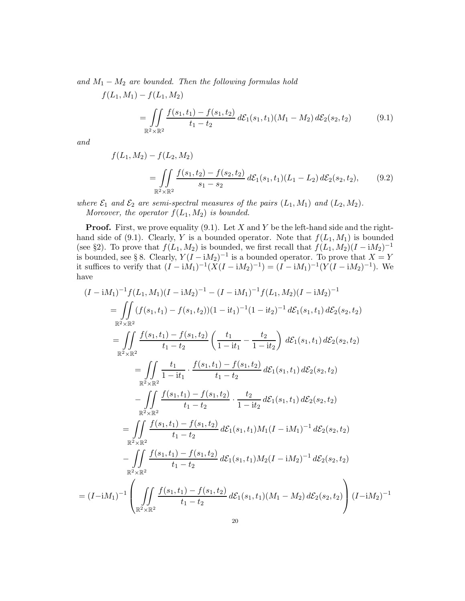*and* M<sup>1</sup> − M<sup>2</sup> *are bounded. Then the following formulas hold*

$$
f(L_1, M_1) - f(L_1, M_2)
$$
  
= 
$$
\iint_{\mathbb{R}^2 \times \mathbb{R}^2} \frac{f(s_1, t_1) - f(s_1, t_2)}{t_1 - t_2} d\mathcal{E}_1(s_1, t_1) (M_1 - M_2) d\mathcal{E}_2(s_2, t_2)
$$
 (9.1)

*and*

$$
f(L_1, M_2) - f(L_2, M_2)
$$
  
= 
$$
\iint_{\mathbb{R}^2 \times \mathbb{R}^2} \frac{f(s_1, t_2) - f(s_2, t_2)}{s_1 - s_2} d\mathcal{E}_1(s_1, t_1)(L_1 - L_2) d\mathcal{E}_2(s_2, t_2),
$$
 (9.2)

*where*  $\mathcal{E}_1$  *and*  $\mathcal{E}_2$  *are semi-spectral measures of the pairs*  $(L_1, M_1)$  *and*  $(L_2, M_2)$ *. Moreover, the operator*  $f(L_1, M_2)$  *is bounded.* 

**Proof.** First, we prove equality (9.1). Let X and Y be the left-hand side and the righthand side of (9.1). Clearly, Y is a bounded operator. Note that  $f(L_1, M_1)$  is bounded (see §2). To prove that  $f(L_1, M_2)$  is bounded, we first recall that  $f(L_1, M_2)(I - iM_2)^{-1}$ is bounded, see § 8. Clearly,  $Y(I - iM_2)^{-1}$  is a bounded operator. To prove that  $X = Y$ it suffices to verify that  $(I - iM_1)^{-1}(X(I - iM_2)^{-1}) = (I - iM_1)^{-1}(Y(I - iM_2)^{-1})$ . We have

$$
(I - iM_1)^{-1} f(L_1, M_1)(I - iM_2)^{-1} - (I - iM_1)^{-1} f(L_1, M_2)(I - iM_2)^{-1}
$$
\n
$$
= \iint_{\mathbb{R}^2 \times \mathbb{R}^2} (f(s_1, t_1) - f(s_1, t_2))(1 - it_1)^{-1} (1 - it_2)^{-1} d\mathcal{E}_1(s_1, t_1) d\mathcal{E}_2(s_2, t_2)
$$
\n
$$
= \iint_{\mathbb{R}^2 \times \mathbb{R}^2} \frac{f(s_1, t_1) - f(s_1, t_2)}{t_1 - t_2} \left( \frac{t_1}{1 - it_1} - \frac{t_2}{1 - it_2} \right) d\mathcal{E}_1(s_1, t_1) d\mathcal{E}_2(s_2, t_2)
$$
\n
$$
= \iint_{\mathbb{R}^2 \times \mathbb{R}^2} \frac{t_1}{1 - it_1} \cdot \frac{f(s_1, t_1) - f(s_1, t_2)}{t_1 - t_2} d\mathcal{E}_1(s_1, t_1) d\mathcal{E}_2(s_2, t_2)
$$
\n
$$
- \iint_{\mathbb{R}^2 \times \mathbb{R}^2} \frac{f(s_1, t_1) - f(s_1, t_2)}{t_1 - t_2} \cdot \frac{t_2}{1 - it_2} d\mathcal{E}_1(s_1, t_1) d\mathcal{E}_2(s_2, t_2)
$$
\n
$$
= \iint_{\mathbb{R}^2 \times \mathbb{R}^2} \frac{f(s_1, t_1) - f(s_1, t_2)}{t_1 - t_2} d\mathcal{E}_1(s_1, t_1) M_1 (I - iM_1)^{-1} d\mathcal{E}_2(s_2, t_2)
$$
\n
$$
- \iint_{\mathbb{R}^2 \times \mathbb{R}^2} \frac{f(s_1, t_1) - f(s_1, t_2)}{t_1 - t_2} d\mathcal{E}_1(s_1, t_1) M_2 (I - iM_2)^{-1} d\mathcal{E}_2(s_2, t_2)
$$
\n
$$
= (I - iM_1)^{-1} \left(
$$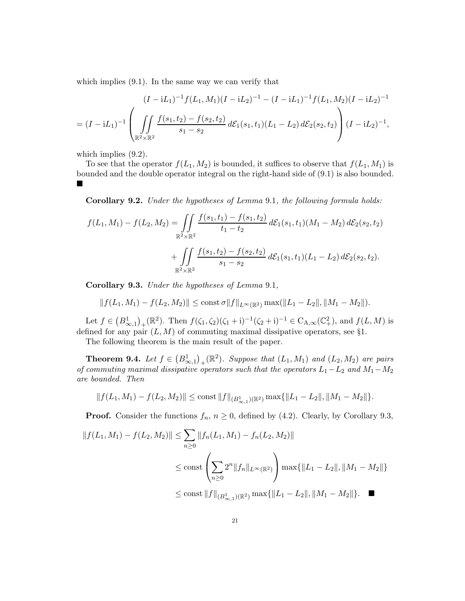which implies  $(9.1)$ . In the same way we can verify that

$$
(I - iL_1)^{-1} f(L_1, M_1) (I - iL_2)^{-1} - (I - iL_1)^{-1} f(L_1, M_2) (I - iL_2)^{-1}
$$
  
=  $(I - iL_1)^{-1} \left( \iint_{\mathbb{R}^2 \times \mathbb{R}^2} \frac{f(s_1, t_2) - f(s_2, t_2)}{s_1 - s_2} d\mathcal{E}_1(s_1, t_1) (L_1 - L_2) d\mathcal{E}_2(s_2, t_2) \right) (I - iL_2)^{-1},$ 

which implies  $(9.2)$ .

To see that the operator  $f(L_1, M_2)$  is bounded, it suffices to observe that  $f(L_1, M_1)$  is bounded and the double operator integral on the right-hand side of (9.1) is also bounded. П

Corollary 9.2. *Under the hypotheses of Lemma* 9.1*, the following formula holds:*

$$
f(L_1, M_1) - f(L_2, M_2) = \iint_{\mathbb{R}^2 \times \mathbb{R}^2} \frac{f(s_1, t_1) - f(s_1, t_2)}{t_1 - t_2} d\mathcal{E}_1(s_1, t_1) (M_1 - M_2) d\mathcal{E}_2(s_2, t_2)
$$

$$
+ \iint_{\mathbb{R}^2 \times \mathbb{R}^2} \frac{f(s_1, t_2) - f(s_2, t_2)}{s_1 - s_2} d\mathcal{E}_1(s_1, t_1) (L_1 - L_2) d\mathcal{E}_2(s_2, t_2).
$$

Corollary 9.3. *Under the hypotheses of Lemma* 9.1*,*

$$
||f(L_1, M_1) - f(L_2, M_2)|| \le \text{const} \,\sigma ||f||_{L^{\infty}(\mathbb{R}^2)} \max(||L_1 - L_2||, ||M_1 - M_2||).
$$

Let  $f \in (B^1_{\infty,1})_+(\mathbb{R}^2)$ . Then  $f(\zeta_1, \zeta_2)(\zeta_1 + i)^{-1}(\zeta_2 + i)^{-1} \in C_{A,\infty}(\mathbb{C}^2_+)$ , and  $f(L, M)$  is defined for any pair  $(L, M)$  of commuting maximal dissipative operators, see §1.

The following theorem is the main result of the paper.

**Theorem 9.4.** Let  $f \in (B^1_{\infty,1})_+(\mathbb{R}^2)$ . Suppose that  $(L_1, M_1)$  and  $(L_2, M_2)$  are pairs *of commuting maximal dissipative operators such that the operators*  $L_1 - L_2$  *and*  $M_1 - M_2$ *are bounded. Then*

$$
||f(L_1, M_1) - f(L_2, M_2)|| \le \text{const} ||f||_{(B^1_{\infty, 1})(\mathbb{R}^2)} \max{||L_1 - L_2||, ||M_1 - M_2||}.
$$

**Proof.** Consider the functions  $f_n$ ,  $n \geq 0$ , defined by (4.2). Clearly, by Corollary 9.3,

$$
||f(L_1, M_1) - f(L_2, M_2)|| \le \sum_{n\ge 0} ||f_n(L_1, M_1) - f_n(L_2, M_2)||
$$
  

$$
\le \text{const} \left( \sum_{n\ge 0} 2^n ||f_n||_{L^{\infty}(\mathbb{R}^2)} \right) \max\{||L_1 - L_2||, ||M_1 - M_2||\}
$$
  

$$
\le \text{const} ||f||_{(B_{\infty,1}^1)(\mathbb{R}^2)} \max\{||L_1 - L_2||, ||M_1 - M_2||\}.
$$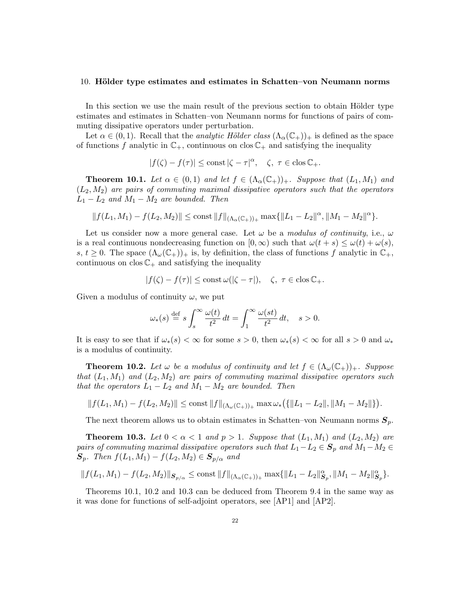#### 10. Hölder type estimates and estimates in Schatten–von Neumann norms

In this section we use the main result of the previous section to obtain Hölder type estimates and estimates in Schatten–von Neumann norms for functions of pairs of commuting dissipative operators under perturbation.

Let  $\alpha \in (0,1)$ . Recall that the *analytic Hölder class*  $(\Lambda_{\alpha}(\mathbb{C}_{+}))_{+}$  is defined as the space of functions f analytic in  $\mathbb{C}_+$ , continuous on clos  $\mathbb{C}_+$  and satisfying the inequality

$$
|f(\zeta) - f(\tau)| \le \text{const } |\zeta - \tau|^{\alpha}, \quad \zeta, \ \tau \in \text{clos } \mathbb{C}_+.
$$

**Theorem 10.1.** Let  $\alpha \in (0,1)$  and let  $f \in (\Lambda_{\alpha}(\mathbb{C}_{+}))_{+}$ . Suppose that  $(L_1, M_1)$  and (L2, M2) *are pairs of commuting maximal dissipative operators such that the operators*  $L_1 - L_2$  *and*  $M_1 - M_2$  *are bounded. Then* 

$$
||f(L_1, M_1) - f(L_2, M_2)|| \le \text{const} ||f||_{(\Lambda_{\alpha}(\mathbb{C}_+))_+} \max \{ ||L_1 - L_2||^{\alpha}, ||M_1 - M_2||^{\alpha} \}.
$$

Let us consider now a more general case. Let  $\omega$  be a *modulus of continuity*, i.e.,  $\omega$ is a real continuous nondecreasing function on  $[0,\infty)$  such that  $\omega(t+s) \leq \omega(t) + \omega(s)$ , s,  $t \geq 0$ . The space  $(\Lambda_{\omega}(\mathbb{C}_{+}))_{+}$  is, by definition, the class of functions f analytic in  $\mathbb{C}_{+}$ , continuous on  $\cos \mathbb{C}_+$  and satisfying the inequality

$$
|f(\zeta)-f(\tau)|\leq {\rm const}\,\omega(|\zeta-\tau|),\quad \zeta,\ \tau\in {\rm clos\,}\mathbb{C}_+.
$$

Given a modulus of continuity  $\omega$ , we put

$$
\omega_*(s) \stackrel{\text{def}}{=} s \int_s^\infty \frac{\omega(t)}{t^2} dt = \int_1^\infty \frac{\omega(st)}{t^2} dt, \quad s > 0.
$$

It is easy to see that if  $\omega_*(s) < \infty$  for some  $s > 0$ , then  $\omega_*(s) < \infty$  for all  $s > 0$  and  $\omega_*$ is a modulus of continuity.

**Theorem 10.2.** Let  $\omega$  be a modulus of continuity and let  $f \in (\Lambda_{\omega}(\mathbb{C}_{+}))_{+}$ . Suppose *that*  $(L_1, M_1)$  *and*  $(L_2, M_2)$  *are pairs of commuting maximal dissipative operators such that the operators*  $L_1 - L_2$  *and*  $M_1 - M_2$  *are bounded. Then* 

$$
|| f(L_1, M_1) - f(L_2, M_2)|| \le \text{const} ||f||_{(\Lambda_\omega(\mathbb{C}_+))_+} \max \omega_* \big( {\{ ||L_1 - L_2||, ||M_1 - M_2|| \}} \big).
$$

The next theorem allows us to obtain estimates in Schatten–von Neumann norms  $S_p$ .

**Theorem 10.3.** Let  $0 < \alpha < 1$  and  $p > 1$ . Suppose that  $(L_1, M_1)$  and  $(L_2, M_2)$  are *pairs of commuting maximal dissipative operators such that*  $L_1 - L_2 \in S_p$  *and*  $M_1 - M_2 \in$  $S_p$ . Then  $f(L_1, M_1) - f(L_2, M_2) \in S_{p/\alpha}$  and

$$
||f(L_1, M_1) - f(L_2, M_2)||_{\mathcal{S}_{p/\alpha}} \le \text{const } ||f||_{(\Lambda_\alpha(\mathbb{C}_+))_+} \max \{||L_1 - L_2||_{\mathcal{S}_p}^{\alpha}, ||M_1 - M_2||_{\mathcal{S}_p}^{\alpha} \}.
$$

Theorems 10.1, 10.2 and 10.3 can be deduced from Theorem 9.4 in the same way as it was done for functions of self-adjoint operators, see [AP1] and [AP2].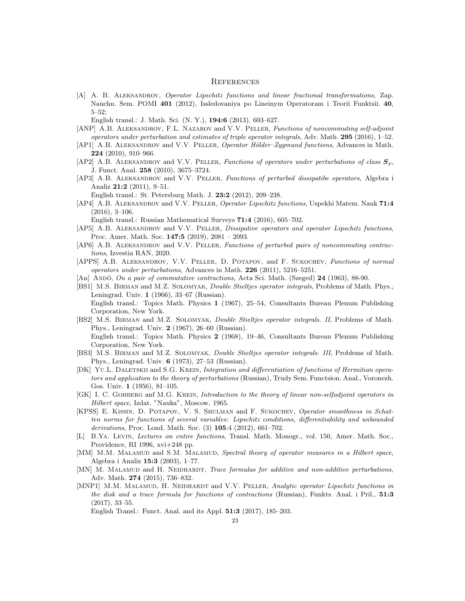#### **REFERENCES**

[A] A. B. ALEKSANDROV, Operator Lipschitz functions and linear fractional transformations, Zap. Nauchn. Sem. POMI 401 (2012), Issledovaniya po Lineinym Operatoram i Teorii Funktsii. 40, 5–52;

English transl.: J. Math. Sci. (N. Y.), 194:6 (2013), 603–627.

- [ANP] A.B. ALEKSANDROV, F.L. NAZAROV and V.V. PELLER, Functions of noncommuting self-adjoint operators under perturbation and estimates of triple operator integrals, Adv. Math. 295 (2016), 1–52.
- [AP1] A.B. ALEKSANDROV and V.V. PELLER, Operator Hölder–Zygmund functions, Advances in Math. 224 (2010), 910–966.
- [AP2] A.B. ALEKSANDROV and V.V. PELLER, Functions of operators under perturbations of class  $\mathbf{S}_p$ , J. Funct. Anal. 258 (2010), 3675–3724.
- [AP3] A.B. ALEKSANDROV and V.V. PELLER, Functions of perturbed dissipatibe operators, Algebra i Analiz 21:2 (2011), 9–51.

English transl.: St. Petersburg Math. J. 23:2 (2012), 209–238.

[AP4] A.B. ALEKSANDROV and V.V. PELLER, Operator Lipschitz functions, Uspekhi Matem. Nauk 71:4 (2016), 3–106.

English transl.: Russian Mathematical Surveys 71:4 (2016), 605–702.

- [AP5] A.B. ALEKSANDROV and V.V. PELLER, Dissipative operators and operator Lipschitz functions, Proc. Amer. Math. Soc. 147:5 (2019), 2081 – 2093.
- [AP6] A.B. ALEKSANDROV and V.V. PELLER, Functions of perturbed pairs of noncommuting contractions, Izvestia RAN, 2020.
- [APPS] A.B. ALEKSANDROV, V.V. PELLER, D. POTAPOV, and F. SUKOCHEV, Functions of normal operators under perturbations, Advances in Math. 226 (2011), 5216–5251.
- [An] Ando, On a pair of commutative contractions, Acta Sci. Math. (Szeged) 24 (1963), 88-90.
- [BS1] M.S. BIRMAN and M.Z. SOLOMYAK, *Double Stieltjes operator integrals*, Problems of Math. Phys., Leningrad. Univ. 1 (1966), 33–67 (Russian).

English transl.: Topics Math. Physics 1 (1967), 25–54, Consultants Bureau Plenum Publishing Corporation, New York.

- [BS2] M.S. BIRMAN and M.Z. SOLOMYAK, *Double Stieltjes operator integrals. II*, Problems of Math. Phys., Leningrad. Univ. 2 (1967), 26–60 (Russian). English transl.: Topics Math. Physics 2 (1968), 19–46, Consultants Bureau Plenum Publishing Corporation, New York.
- [BS3] M.S. BIRMAN and M.Z. SOLOMYAK, *Double Stieltjes operator integrals. III*, Problems of Math. Phys., Leningrad. Univ. 6 (1973), 27–53 (Russian).
- [DK] YU.L. DALETSKII and S.G. KREIN, Integration and differentiation of functions of Hermitian operators and application to the theory of perturbations (Russian), Trudy Sem. Functsion. Anal., Voronezh. Gos. Univ. 1 (1956), 81–105.
- [GK] I. C. GOHBERG anf M.G. KREIN, Introduction to the theory of linear non-selfadjoint operators in Hilbert space, Izdat. "Nauka", Moscow, 1965.
- [KPSS] E. Kissin, D. Potapov, V. S. Shulman and F. Sukochev, Operator smoothness in Schatten norms for functions of several variables: Lipschitz conditions, differentiability and unbounded derivations, Proc. Lond. Math. Soc. (3) 105:4 (2012), 661–702.
- [L] B.Ya. Levin, Lectures on entire functions, Transl. Math. Monogr., vol. 150, Amer. Math. Soc., Providence, RI 1996, xvi+248 pp.
- [MM] M.M. MALAMUD and S.M. MALAMUD, Spectral theory of operator measures in a Hilbert space, Algebra i Analiz 15:3 (2003), 1–77.
- [MN] M. MALAMUD and H. NEIDHARDT, Trace formulas for additive and non-additive perturbations, Adv. Math. 274 (2015), 736–832.
- [MNP1] M.M. MALAMUD, H. NEIDHARDT and V.V. PELLER, Analytic operator Lipschitz functions in the disk and a trace formula for functions of contractions (Russian), Funkts. Anal. i Pril., 51:3 (2017), 33–55.

English Transl.: Funct. Anal. and its Appl. 51:3 (2017), 185–203.